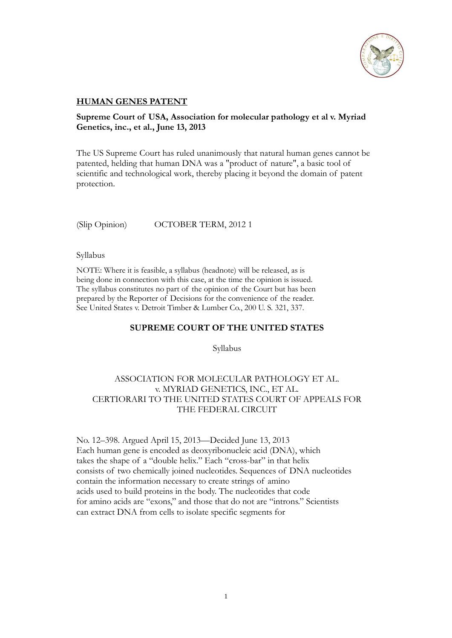

# **HUMAN GENES PATENT**

# **Supreme Court of USA, Association for molecular pathology et al v. Myriad Genetics, inc., et al., June 13, 2013**

The US Supreme Court has ruled unanimously that natural human genes cannot be patented, helding that human DNA was a "product of nature", a basic tool of scientific and technological work, thereby placing it beyond the domain of patent protection.

(Slip Opinion) OCTOBER TERM, 2012 1

### Syllabus

NOTE: Where it is feasible, a syllabus (headnote) will be released, as is being done in connection with this case, at the time the opinion is issued. The syllabus constitutes no part of the opinion of the Court but has been prepared by the Reporter of Decisions for the convenience of the reader. See United States v. Detroit Timber & Lumber Co., 200 U. S. 321, 337.

# **SUPREME COURT OF THE UNITED STATES**

Syllabus

# ASSOCIATION FOR MOLECULAR PATHOLOGY ET AL. v. MYRIAD GENETICS, INC., ET AL. CERTIORARI TO THE UNITED STATES COURT OF APPEALS FOR THE FEDERAL CIRCUIT

No. 12–398. Argued April 15, 2013—Decided June 13, 2013 Each human gene is encoded as deoxyribonucleic acid (DNA), which takes the shape of a "double helix." Each "cross-bar" in that helix consists of two chemically joined nucleotides. Sequences of DNA nucleotides contain the information necessary to create strings of amino acids used to build proteins in the body. The nucleotides that code for amino acids are "exons," and those that do not are "introns." Scientists can extract DNA from cells to isolate specific segments for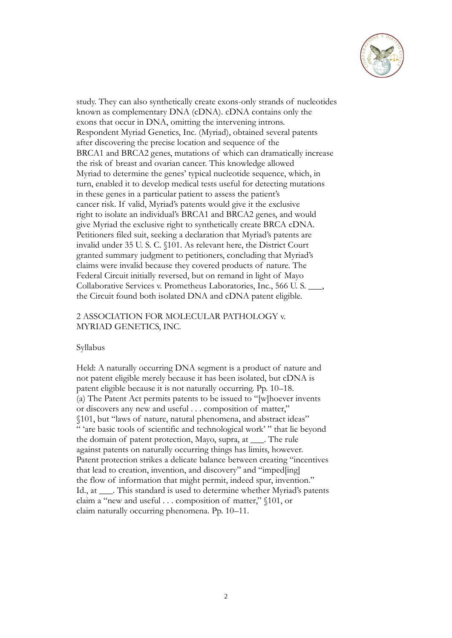

study. They can also synthetically create exons-only strands of nucleotides known as complementary DNA (cDNA). cDNA contains only the exons that occur in DNA, omitting the intervening introns. Respondent Myriad Genetics, Inc. (Myriad), obtained several patents after discovering the precise location and sequence of the BRCA1 and BRCA2 genes, mutations of which can dramatically increase the risk of breast and ovarian cancer. This knowledge allowed Myriad to determine the genes' typical nucleotide sequence, which, in turn, enabled it to develop medical tests useful for detecting mutations in these genes in a particular patient to assess the patient's cancer risk. If valid, Myriad's patents would give it the exclusive right to isolate an individual's BRCA1 and BRCA2 genes, and would give Myriad the exclusive right to synthetically create BRCA cDNA. Petitioners filed suit, seeking a declaration that Myriad's patents are invalid under 35 U. S. C. §101. As relevant here, the District Court granted summary judgment to petitioners, concluding that Myriad's claims were invalid because they covered products of nature. The Federal Circuit initially reversed, but on remand in light of Mayo Collaborative Services v. Prometheus Laboratories, Inc., 566 U. S. \_\_\_, the Circuit found both isolated DNA and cDNA patent eligible.

# 2 ASSOCIATION FOR MOLECULAR PATHOLOGY v. MYRIAD GENETICS, INC.

### Syllabus

Held: A naturally occurring DNA segment is a product of nature and not patent eligible merely because it has been isolated, but cDNA is patent eligible because it is not naturally occurring. Pp. 10–18. (a) The Patent Act permits patents to be issued to "[w]hoever invents or discovers any new and useful . . . composition of matter," §101, but "laws of nature, natural phenomena, and abstract ideas" " 'are basic tools of scientific and technological work' " that lie beyond the domain of patent protection, Mayo, supra, at \_\_\_. The rule against patents on naturally occurring things has limits, however. Patent protection strikes a delicate balance between creating "incentives that lead to creation, invention, and discovery" and "imped[ing] the flow of information that might permit, indeed spur, invention." Id., at \_\_\_. This standard is used to determine whether Myriad's patents claim a "new and useful . . . composition of matter," §101, or claim naturally occurring phenomena. Pp. 10–11.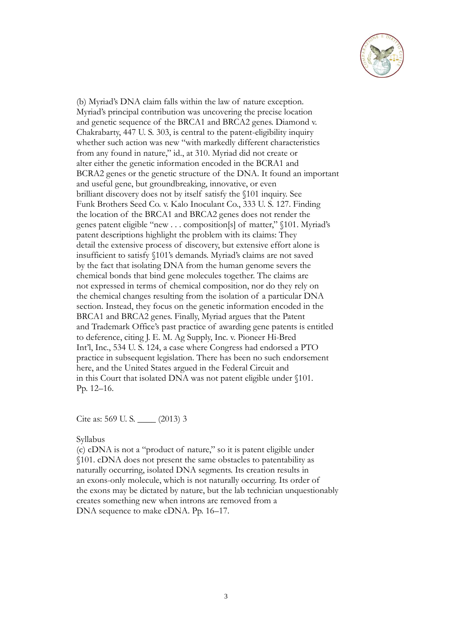

(b) Myriad's DNA claim falls within the law of nature exception. Myriad's principal contribution was uncovering the precise location and genetic sequence of the BRCA1 and BRCA2 genes. Diamond v. Chakrabarty, 447 U. S. 303, is central to the patent-eligibility inquiry whether such action was new "with markedly different characteristics from any found in nature," id., at 310. Myriad did not create or alter either the genetic information encoded in the BCRA1 and BCRA2 genes or the genetic structure of the DNA. It found an important and useful gene, but groundbreaking, innovative, or even brilliant discovery does not by itself satisfy the §101 inquiry. See Funk Brothers Seed Co. v. Kalo Inoculant Co., 333 U. S. 127. Finding the location of the BRCA1 and BRCA2 genes does not render the genes patent eligible "new . . . composition[s] of matter," §101. Myriad's patent descriptions highlight the problem with its claims: They detail the extensive process of discovery, but extensive effort alone is insufficient to satisfy §101's demands. Myriad's claims are not saved by the fact that isolating DNA from the human genome severs the chemical bonds that bind gene molecules together. The claims are not expressed in terms of chemical composition, nor do they rely on the chemical changes resulting from the isolation of a particular DNA section. Instead, they focus on the genetic information encoded in the BRCA1 and BRCA2 genes. Finally, Myriad argues that the Patent and Trademark Office's past practice of awarding gene patents is entitled to deference, citing J. E. M. Ag Supply, Inc. v. Pioneer Hi-Bred Int'l, Inc., 534 U. S. 124, a case where Congress had endorsed a PTO practice in subsequent legislation. There has been no such endorsement here, and the United States argued in the Federal Circuit and in this Court that isolated DNA was not patent eligible under §101. Pp. 12–16.

Cite as: 569 U.S. (2013) 3

### Syllabus

(c) cDNA is not a "product of nature," so it is patent eligible under §101. cDNA does not present the same obstacles to patentability as naturally occurring, isolated DNA segments. Its creation results in an exons-only molecule, which is not naturally occurring. Its order of the exons may be dictated by nature, but the lab technician unquestionably creates something new when introns are removed from a DNA sequence to make cDNA. Pp. 16–17.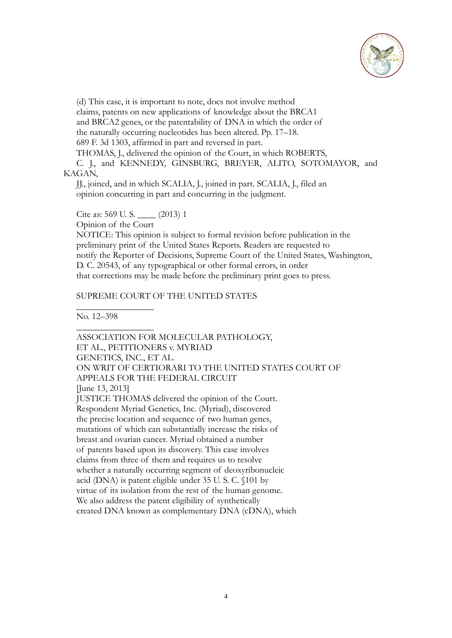

(d) This case, it is important to note, does not involve method claims, patents on new applications of knowledge about the BRCA1 and BRCA2 genes, or the patentability of DNA in which the order of the naturally occurring nucleotides has been altered. Pp. 17–18. 689 F. 3d 1303, affirmed in part and reversed in part. THOMAS, J., delivered the opinion of the Court, in which ROBERTS,

C. J., and KENNEDY, GINSBURG, BREYER, ALITO, SOTOMAYOR, and KAGAN,

JJ., joined, and in which SCALIA, J., joined in part. SCALIA, J., filed an opinion concurring in part and concurring in the judgment.

Cite as: 569 U. S. \_\_\_\_ (2013) 1

Opinion of the Court

 $\overline{\phantom{a}}$  , where  $\overline{\phantom{a}}$ 

 $\overline{\phantom{a}}$  , where  $\overline{\phantom{a}}$ 

NOTICE: This opinion is subject to formal revision before publication in the preliminary print of the United States Reports. Readers are requested to notify the Reporter of Decisions, Supreme Court of the United States, Washington, D. C. 20543, of any typographical or other formal errors, in order that corrections may be made before the preliminary print goes to press.

# SUPREME COURT OF THE UNITED STATES

No. 12–398

ASSOCIATION FOR MOLECULAR PATHOLOGY, ET AL., PETITIONERS v. MYRIAD GENETICS, INC., ET AL. ON WRIT OF CERTIORARI TO THE UNITED STATES COURT OF APPEALS FOR THE FEDERAL CIRCUIT [June 13, 2013] JUSTICE THOMAS delivered the opinion of the Court. Respondent Myriad Genetics, Inc. (Myriad), discovered the precise location and sequence of two human genes, mutations of which can substantially increase the risks of breast and ovarian cancer. Myriad obtained a number of patents based upon its discovery. This case involves claims from three of them and requires us to resolve whether a naturally occurring segment of deoxyribonucleic acid (DNA) is patent eligible under 35 U. S. C. §101 by virtue of its isolation from the rest of the human genome. We also address the patent eligibility of synthetically created DNA known as complementary DNA (cDNA), which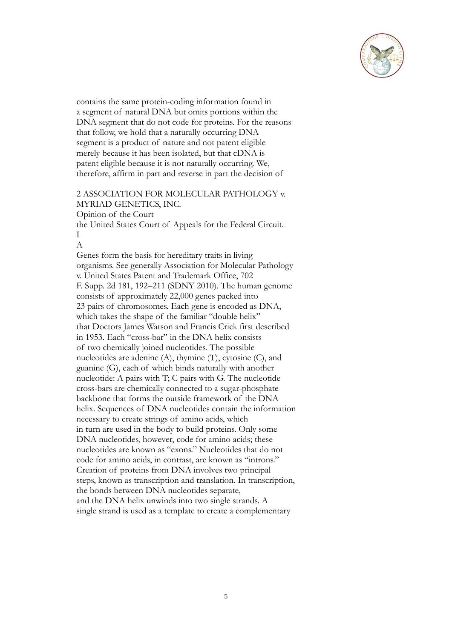

contains the same protein-coding information found in a segment of natural DNA but omits portions within the DNA segment that do not code for proteins. For the reasons that follow, we hold that a naturally occurring DNA segment is a product of nature and not patent eligible merely because it has been isolated, but that cDNA is patent eligible because it is not naturally occurring. We, therefore, affirm in part and reverse in part the decision of

#### 2 ASSOCIATION FOR MOLECULAR PATHOLOGY v. MYRIAD GENETICS, INC.

Opinion of the Court

the United States Court of Appeals for the Federal Circuit. I

A

Genes form the basis for hereditary traits in living organisms. See generally Association for Molecular Pathology v. United States Patent and Trademark Office, 702 F. Supp. 2d 181, 192–211 (SDNY 2010). The human genome consists of approximately 22,000 genes packed into 23 pairs of chromosomes. Each gene is encoded as DNA, which takes the shape of the familiar "double helix" that Doctors James Watson and Francis Crick first described in 1953. Each "cross-bar" in the DNA helix consists of two chemically joined nucleotides. The possible nucleotides are adenine (A), thymine (T), cytosine (C), and guanine (G), each of which binds naturally with another nucleotide: A pairs with T; C pairs with G. The nucleotide cross-bars are chemically connected to a sugar-phosphate backbone that forms the outside framework of the DNA helix. Sequences of DNA nucleotides contain the information necessary to create strings of amino acids, which in turn are used in the body to build proteins. Only some DNA nucleotides, however, code for amino acids; these nucleotides are known as "exons." Nucleotides that do not code for amino acids, in contrast, are known as "introns." Creation of proteins from DNA involves two principal steps, known as transcription and translation. In transcription, the bonds between DNA nucleotides separate, and the DNA helix unwinds into two single strands. A single strand is used as a template to create a complementary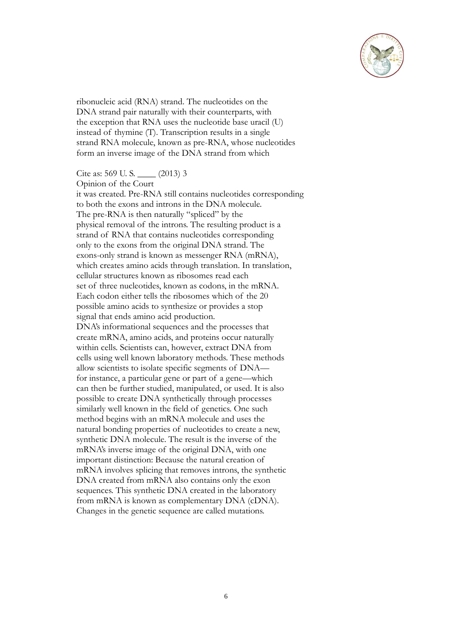

ribonucleic acid (RNA) strand. The nucleotides on the DNA strand pair naturally with their counterparts, with the exception that RNA uses the nucleotide base uracil (U) instead of thymine (T). Transcription results in a single strand RNA molecule, known as pre-RNA, whose nucleotides form an inverse image of the DNA strand from which

# Cite as: 569 U. S. \_\_\_\_ (2013) 3

Opinion of the Court

it was created. Pre-RNA still contains nucleotides corresponding to both the exons and introns in the DNA molecule. The pre-RNA is then naturally "spliced" by the physical removal of the introns. The resulting product is a strand of RNA that contains nucleotides corresponding only to the exons from the original DNA strand. The exons-only strand is known as messenger RNA (mRNA), which creates amino acids through translation. In translation, cellular structures known as ribosomes read each set of three nucleotides, known as codons, in the mRNA. Each codon either tells the ribosomes which of the 20 possible amino acids to synthesize or provides a stop signal that ends amino acid production. DNA's informational sequences and the processes that create mRNA, amino acids, and proteins occur naturally within cells. Scientists can, however, extract DNA from cells using well known laboratory methods. These methods allow scientists to isolate specific segments of DNA for instance, a particular gene or part of a gene—which can then be further studied, manipulated, or used. It is also possible to create DNA synthetically through processes similarly well known in the field of genetics. One such method begins with an mRNA molecule and uses the natural bonding properties of nucleotides to create a new, synthetic DNA molecule. The result is the inverse of the mRNA's inverse image of the original DNA, with one important distinction: Because the natural creation of mRNA involves splicing that removes introns, the synthetic DNA created from mRNA also contains only the exon sequences. This synthetic DNA created in the laboratory from mRNA is known as complementary DNA (cDNA). Changes in the genetic sequence are called mutations.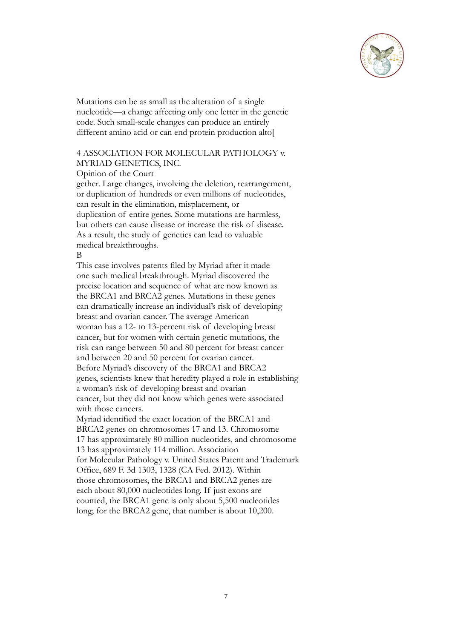

Mutations can be as small as the alteration of a single nucleotide—a change affecting only one letter in the genetic code. Such small-scale changes can produce an entirely different amino acid or can end protein production alto[

# 4 ASSOCIATION FOR MOLECULAR PATHOLOGY v. MYRIAD GENETICS, INC.

#### Opinion of the Court

gether. Large changes, involving the deletion, rearrangement, or duplication of hundreds or even millions of nucleotides, can result in the elimination, misplacement, or duplication of entire genes. Some mutations are harmless, but others can cause disease or increase the risk of disease. As a result, the study of genetics can lead to valuable medical breakthroughs.

#### B

This case involves patents filed by Myriad after it made one such medical breakthrough. Myriad discovered the precise location and sequence of what are now known as the BRCA1 and BRCA2 genes. Mutations in these genes can dramatically increase an individual's risk of developing breast and ovarian cancer. The average American woman has a 12- to 13-percent risk of developing breast cancer, but for women with certain genetic mutations, the risk can range between 50 and 80 percent for breast cancer and between 20 and 50 percent for ovarian cancer. Before Myriad's discovery of the BRCA1 and BRCA2 genes, scientists knew that heredity played a role in establishing a woman's risk of developing breast and ovarian cancer, but they did not know which genes were associated with those cancers. Myriad identified the exact location of the BRCA1 and BRCA2 genes on chromosomes 17 and 13. Chromosome 17 has approximately 80 million nucleotides, and chromosome

13 has approximately 114 million. Association for Molecular Pathology v. United States Patent and Trademark Office, 689 F. 3d 1303, 1328 (CA Fed. 2012). Within those chromosomes, the BRCA1 and BRCA2 genes are each about 80,000 nucleotides long. If just exons are counted, the BRCA1 gene is only about 5,500 nucleotides long; for the BRCA2 gene, that number is about 10,200.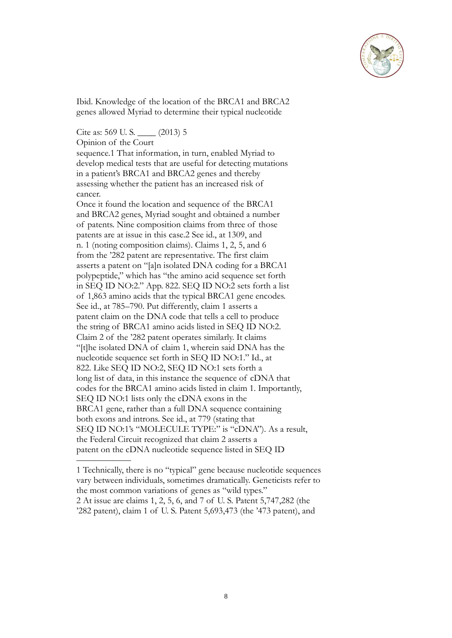

Ibid. Knowledge of the location of the BRCA1 and BRCA2 genes allowed Myriad to determine their typical nucleotide

# Cite as: 569 U. S. \_\_\_\_ (2013) 5

Opinion of the Court

——————

sequence.1 That information, in turn, enabled Myriad to develop medical tests that are useful for detecting mutations in a patient's BRCA1 and BRCA2 genes and thereby assessing whether the patient has an increased risk of cancer.

Once it found the location and sequence of the BRCA1 and BRCA2 genes, Myriad sought and obtained a number of patents. Nine composition claims from three of those patents are at issue in this case.2 See id., at 1309, and n. 1 (noting composition claims). Claims 1, 2, 5, and 6 from the '282 patent are representative. The first claim asserts a patent on "[a]n isolated DNA coding for a BRCA1 polypeptide," which has "the amino acid sequence set forth in SEQ ID NO:2." App. 822. SEQ ID NO:2 sets forth a list of 1,863 amino acids that the typical BRCA1 gene encodes. See id., at 785–790. Put differently, claim 1 asserts a patent claim on the DNA code that tells a cell to produce the string of BRCA1 amino acids listed in SEQ ID NO:2. Claim 2 of the '282 patent operates similarly. It claims "[t]he isolated DNA of claim 1, wherein said DNA has the nucleotide sequence set forth in SEQ ID NO:1." Id., at 822. Like SEQ ID NO:2, SEQ ID NO:1 sets forth a long list of data, in this instance the sequence of cDNA that codes for the BRCA1 amino acids listed in claim 1. Importantly, SEQ ID NO:1 lists only the cDNA exons in the BRCA1 gene, rather than a full DNA sequence containing both exons and introns. See id., at 779 (stating that SEQ ID NO:1's "MOLECULE TYPE:" is "cDNA"). As a result, the Federal Circuit recognized that claim 2 asserts a patent on the cDNA nucleotide sequence listed in SEQ ID

<sup>1</sup> Technically, there is no "typical" gene because nucleotide sequences vary between individuals, sometimes dramatically. Geneticists refer to the most common variations of genes as "wild types."

<sup>2</sup> At issue are claims 1, 2, 5, 6, and 7 of U. S. Patent 5,747,282 (the '282 patent), claim 1 of U. S. Patent 5,693,473 (the '473 patent), and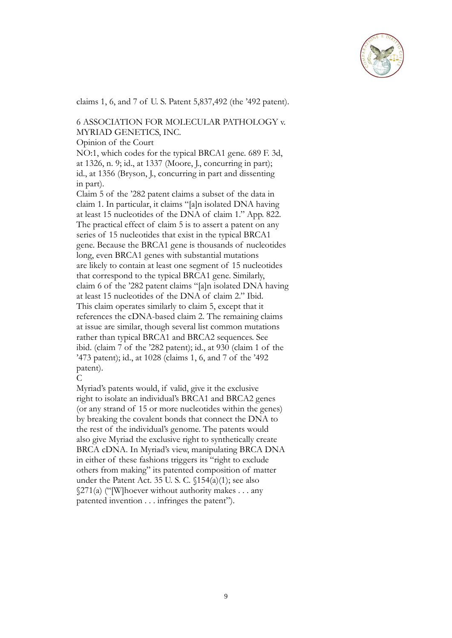

claims 1, 6, and 7 of U. S. Patent 5,837,492 (the '492 patent).

# 6 ASSOCIATION FOR MOLECULAR PATHOLOGY v. MYRIAD GENETICS, INC.

#### Opinion of the Court

NO:1, which codes for the typical BRCA1 gene. 689 F. 3d, at 1326, n. 9; id., at 1337 (Moore, J., concurring in part); id., at 1356 (Bryson, J., concurring in part and dissenting in part).

Claim 5 of the '282 patent claims a subset of the data in claim 1. In particular, it claims "[a]n isolated DNA having at least 15 nucleotides of the DNA of claim 1." App. 822. The practical effect of claim 5 is to assert a patent on any series of 15 nucleotides that exist in the typical BRCA1 gene. Because the BRCA1 gene is thousands of nucleotides long, even BRCA1 genes with substantial mutations are likely to contain at least one segment of 15 nucleotides that correspond to the typical BRCA1 gene. Similarly, claim 6 of the '282 patent claims "[a]n isolated DNA having at least 15 nucleotides of the DNA of claim 2." Ibid. This claim operates similarly to claim 5, except that it references the cDNA-based claim 2. The remaining claims at issue are similar, though several list common mutations rather than typical BRCA1 and BRCA2 sequences. See ibid. (claim 7 of the '282 patent); id., at 930 (claim 1 of the '473 patent); id., at 1028 (claims 1, 6, and 7 of the '492 patent).

C

Myriad's patents would, if valid, give it the exclusive right to isolate an individual's BRCA1 and BRCA2 genes (or any strand of 15 or more nucleotides within the genes) by breaking the covalent bonds that connect the DNA to the rest of the individual's genome. The patents would also give Myriad the exclusive right to synthetically create BRCA cDNA. In Myriad's view, manipulating BRCA DNA in either of these fashions triggers its "right to exclude others from making" its patented composition of matter under the Patent Act. 35 U. S. C. §154(a)(1); see also  $\S 271(a)$  ("[W]hoever without authority makes . . . any patented invention . . . infringes the patent").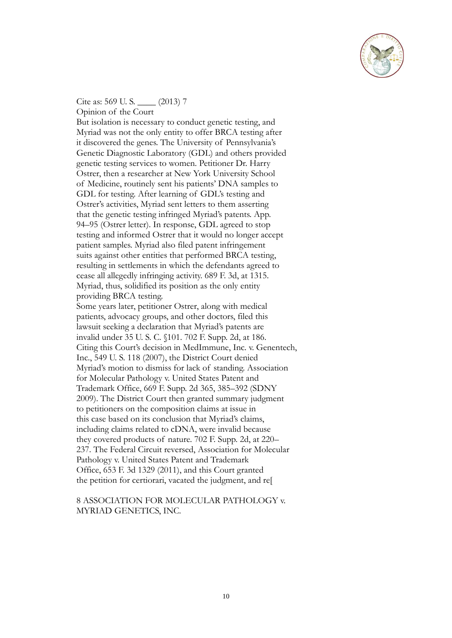

### Cite as: 569 U. S. \_\_\_\_ (2013) 7 Opinion of the Court

But isolation is necessary to conduct genetic testing, and Myriad was not the only entity to offer BRCA testing after it discovered the genes. The University of Pennsylvania's Genetic Diagnostic Laboratory (GDL) and others provided genetic testing services to women. Petitioner Dr. Harry Ostrer, then a researcher at New York University School of Medicine, routinely sent his patients' DNA samples to GDL for testing. After learning of GDL's testing and Ostrer's activities, Myriad sent letters to them asserting that the genetic testing infringed Myriad's patents. App. 94–95 (Ostrer letter). In response, GDL agreed to stop testing and informed Ostrer that it would no longer accept patient samples. Myriad also filed patent infringement suits against other entities that performed BRCA testing, resulting in settlements in which the defendants agreed to cease all allegedly infringing activity. 689 F. 3d, at 1315. Myriad, thus, solidified its position as the only entity providing BRCA testing.

Some years later, petitioner Ostrer, along with medical patients, advocacy groups, and other doctors, filed this lawsuit seeking a declaration that Myriad's patents are invalid under 35 U. S. C. §101. 702 F. Supp. 2d, at 186. Citing this Court's decision in MedImmune, Inc. v. Genentech, Inc., 549 U. S. 118 (2007), the District Court denied Myriad's motion to dismiss for lack of standing. Association for Molecular Pathology v. United States Patent and Trademark Office, 669 F. Supp. 2d 365, 385–392 (SDNY 2009). The District Court then granted summary judgment to petitioners on the composition claims at issue in this case based on its conclusion that Myriad's claims, including claims related to cDNA, were invalid because they covered products of nature. 702 F. Supp. 2d, at 220– 237. The Federal Circuit reversed, Association for Molecular Pathology v. United States Patent and Trademark Office, 653 F. 3d 1329 (2011), and this Court granted the petition for certiorari, vacated the judgment, and re[

# 8 ASSOCIATION FOR MOLECULAR PATHOLOGY v. MYRIAD GENETICS, INC.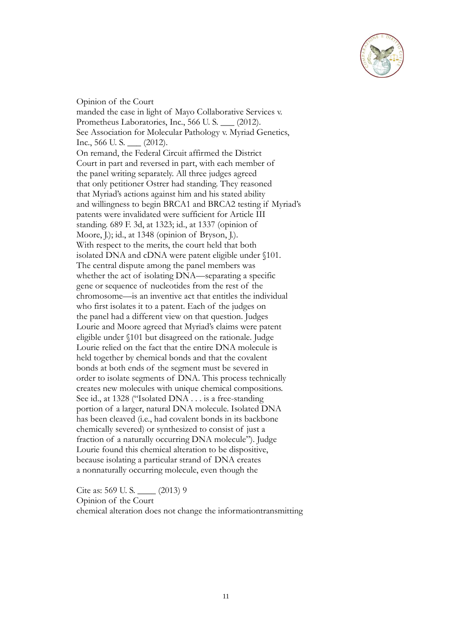

Opinion of the Court manded the case in light of Mayo Collaborative Services v. Prometheus Laboratories, Inc., 566 U. S. \_\_\_ (2012). See Association for Molecular Pathology v. Myriad Genetics, Inc., 566 U. S. \_\_\_ (2012). On remand, the Federal Circuit affirmed the District Court in part and reversed in part, with each member of the panel writing separately. All three judges agreed that only petitioner Ostrer had standing. They reasoned that Myriad's actions against him and his stated ability and willingness to begin BRCA1 and BRCA2 testing if Myriad's patents were invalidated were sufficient for Article III standing. 689 F. 3d, at 1323; id., at 1337 (opinion of Moore, J.); id., at 1348 (opinion of Bryson, J.). With respect to the merits, the court held that both isolated DNA and cDNA were patent eligible under §101. The central dispute among the panel members was whether the act of isolating DNA—separating a specific gene or sequence of nucleotides from the rest of the chromosome—is an inventive act that entitles the individual who first isolates it to a patent. Each of the judges on the panel had a different view on that question. Judges Lourie and Moore agreed that Myriad's claims were patent eligible under §101 but disagreed on the rationale. Judge Lourie relied on the fact that the entire DNA molecule is held together by chemical bonds and that the covalent bonds at both ends of the segment must be severed in order to isolate segments of DNA. This process technically creates new molecules with unique chemical compositions. See id., at 1328 ("Isolated DNA . . . is a free-standing portion of a larger, natural DNA molecule. Isolated DNA has been cleaved (i.e., had covalent bonds in its backbone chemically severed) or synthesized to consist of just a fraction of a naturally occurring DNA molecule"). Judge Lourie found this chemical alteration to be dispositive, because isolating a particular strand of DNA creates a nonnaturally occurring molecule, even though the

Cite as: 569 U. S. \_\_\_\_ (2013) 9 Opinion of the Court chemical alteration does not change the informationtransmitting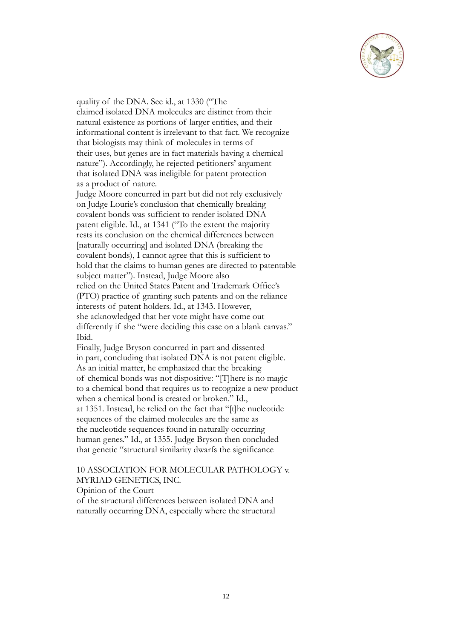

quality of the DNA. See id., at 1330 ("The claimed isolated DNA molecules are distinct from their natural existence as portions of larger entities, and their informational content is irrelevant to that fact. We recognize that biologists may think of molecules in terms of their uses, but genes are in fact materials having a chemical nature"). Accordingly, he rejected petitioners' argument that isolated DNA was ineligible for patent protection as a product of nature.

Judge Moore concurred in part but did not rely exclusively on Judge Lourie's conclusion that chemically breaking covalent bonds was sufficient to render isolated DNA patent eligible. Id., at 1341 ("To the extent the majority rests its conclusion on the chemical differences between [naturally occurring] and isolated DNA (breaking the covalent bonds), I cannot agree that this is sufficient to hold that the claims to human genes are directed to patentable subject matter"). Instead, Judge Moore also relied on the United States Patent and Trademark Office's (PTO) practice of granting such patents and on the reliance interests of patent holders. Id., at 1343. However, she acknowledged that her vote might have come out differently if she "were deciding this case on a blank canvas." Ibid.

Finally, Judge Bryson concurred in part and dissented in part, concluding that isolated DNA is not patent eligible. As an initial matter, he emphasized that the breaking of chemical bonds was not dispositive: "[T]here is no magic to a chemical bond that requires us to recognize a new product when a chemical bond is created or broken." Id., at 1351. Instead, he relied on the fact that "[t]he nucleotide sequences of the claimed molecules are the same as the nucleotide sequences found in naturally occurring human genes." Id., at 1355. Judge Bryson then concluded that genetic "structural similarity dwarfs the significance

### 10 ASSOCIATION FOR MOLECULAR PATHOLOGY v. MYRIAD GENETICS, INC.

Opinion of the Court

of the structural differences between isolated DNA and naturally occurring DNA, especially where the structural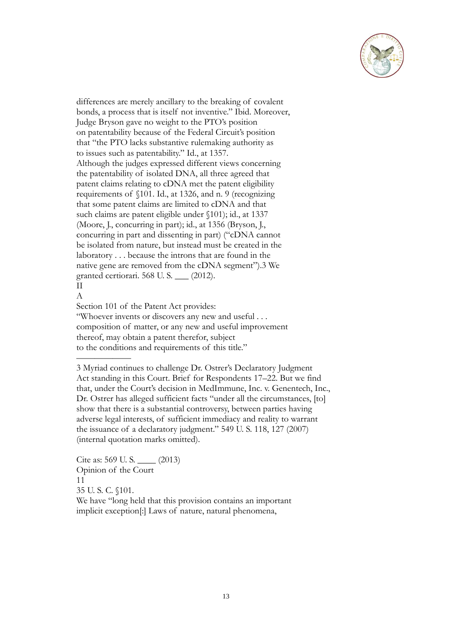

differences are merely ancillary to the breaking of covalent bonds, a process that is itself not inventive." Ibid. Moreover, Judge Bryson gave no weight to the PTO's position on patentability because of the Federal Circuit's position that "the PTO lacks substantive rulemaking authority as to issues such as patentability." Id., at 1357. Although the judges expressed different views concerning the patentability of isolated DNA, all three agreed that patent claims relating to cDNA met the patent eligibility requirements of §101. Id., at 1326, and n. 9 (recognizing that some patent claims are limited to cDNA and that such claims are patent eligible under §101); id., at 1337 (Moore, J., concurring in part); id., at 1356 (Bryson, J., concurring in part and dissenting in part) ("cDNA cannot be isolated from nature, but instead must be created in the laboratory . . . because the introns that are found in the native gene are removed from the cDNA segment").3 We granted certiorari. 568 U. S. \_\_\_ (2012). II

A

——————

Section 101 of the Patent Act provides:

"Whoever invents or discovers any new and useful . . . composition of matter, or any new and useful improvement thereof, may obtain a patent therefor, subject to the conditions and requirements of this title."

3 Myriad continues to challenge Dr. Ostrer's Declaratory Judgment Act standing in this Court. Brief for Respondents 17–22. But we find that, under the Court's decision in MedImmune, Inc. v. Genentech, Inc., Dr. Ostrer has alleged sufficient facts "under all the circumstances, [to] show that there is a substantial controversy, between parties having adverse legal interests, of sufficient immediacy and reality to warrant the issuance of a declaratory judgment." 549 U. S. 118, 127 (2007) (internal quotation marks omitted).

Cite as: 569 U. S. \_\_\_\_ (2013) Opinion of the Court 11 35 U. S. C. §101. We have "long held that this provision contains an important implicit exception[:] Laws of nature, natural phenomena,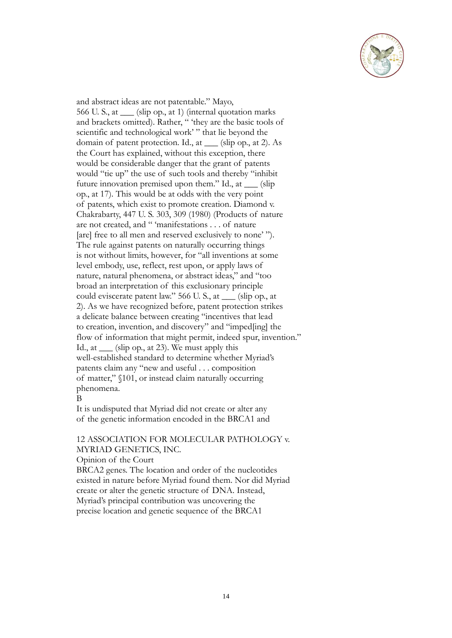

and abstract ideas are not patentable." Mayo, 566 U. S., at \_\_\_ (slip op., at 1) (internal quotation marks and brackets omitted). Rather, " 'they are the basic tools of scientific and technological work' " that lie beyond the domain of patent protection. Id., at \_\_\_ (slip op., at 2). As the Court has explained, without this exception, there would be considerable danger that the grant of patents would "tie up" the use of such tools and thereby "inhibit future innovation premised upon them." Id., at \_\_\_ (slip op., at 17). This would be at odds with the very point of patents, which exist to promote creation. Diamond v. Chakrabarty, 447 U. S. 303, 309 (1980) (Products of nature are not created, and " 'manifestations . . . of nature [are] free to all men and reserved exclusively to none'"). The rule against patents on naturally occurring things is not without limits, however, for "all inventions at some level embody, use, reflect, rest upon, or apply laws of nature, natural phenomena, or abstract ideas," and "too broad an interpretation of this exclusionary principle could eviscerate patent law." 566 U. S., at \_\_\_ (slip op., at 2). As we have recognized before, patent protection strikes a delicate balance between creating "incentives that lead to creation, invention, and discovery" and "imped[ing] the flow of information that might permit, indeed spur, invention." Id., at  $\_\_\_\$ (slip op., at 23). We must apply this well-established standard to determine whether Myriad's patents claim any "new and useful . . . composition of matter," §101, or instead claim naturally occurring phenomena.

# B

It is undisputed that Myriad did not create or alter any of the genetic information encoded in the BRCA1 and

# 12 ASSOCIATION FOR MOLECULAR PATHOLOGY v. MYRIAD GENETICS, INC.

Opinion of the Court

BRCA2 genes. The location and order of the nucleotides existed in nature before Myriad found them. Nor did Myriad create or alter the genetic structure of DNA. Instead, Myriad's principal contribution was uncovering the precise location and genetic sequence of the BRCA1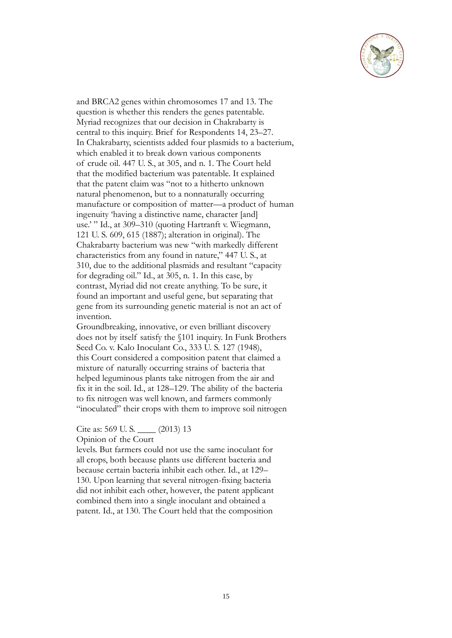

and BRCA2 genes within chromosomes 17 and 13. The question is whether this renders the genes patentable. Myriad recognizes that our decision in Chakrabarty is central to this inquiry. Brief for Respondents 14, 23–27. In Chakrabarty, scientists added four plasmids to a bacterium, which enabled it to break down various components of crude oil. 447 U. S., at 305, and n. 1. The Court held that the modified bacterium was patentable. It explained that the patent claim was "not to a hitherto unknown natural phenomenon, but to a nonnaturally occurring manufacture or composition of matter—a product of human ingenuity 'having a distinctive name, character [and] use.' " Id., at 309–310 (quoting Hartranft v. Wiegmann, 121 U. S. 609, 615 (1887); alteration in original). The Chakrabarty bacterium was new "with markedly different characteristics from any found in nature," 447 U. S., at 310, due to the additional plasmids and resultant "capacity for degrading oil." Id., at 305, n. 1. In this case, by contrast, Myriad did not create anything. To be sure, it found an important and useful gene, but separating that gene from its surrounding genetic material is not an act of invention.

Groundbreaking, innovative, or even brilliant discovery does not by itself satisfy the §101 inquiry. In Funk Brothers Seed Co. v. Kalo Inoculant Co., 333 U. S. 127 (1948), this Court considered a composition patent that claimed a mixture of naturally occurring strains of bacteria that helped leguminous plants take nitrogen from the air and fix it in the soil. Id., at 128–129. The ability of the bacteria to fix nitrogen was well known, and farmers commonly "inoculated" their crops with them to improve soil nitrogen

# Cite as: 569 U. S. \_\_\_\_ (2013) 13

### Opinion of the Court

levels. But farmers could not use the same inoculant for all crops, both because plants use different bacteria and because certain bacteria inhibit each other. Id., at 129– 130. Upon learning that several nitrogen-fixing bacteria did not inhibit each other, however, the patent applicant combined them into a single inoculant and obtained a patent. Id., at 130. The Court held that the composition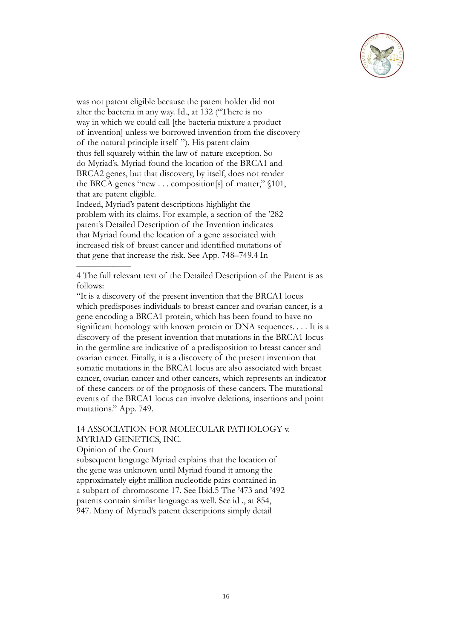

was not patent eligible because the patent holder did not alter the bacteria in any way. Id., at 132 ("There is no way in which we could call [the bacteria mixture a product of invention] unless we borrowed invention from the discovery of the natural principle itself "). His patent claim thus fell squarely within the law of nature exception. So do Myriad's. Myriad found the location of the BRCA1 and BRCA2 genes, but that discovery, by itself, does not render the BRCA genes "new . . . composition[s] of matter," §101, that are patent eligible.

Indeed, Myriad's patent descriptions highlight the problem with its claims. For example, a section of the '282 patent's Detailed Description of the Invention indicates that Myriad found the location of a gene associated with increased risk of breast cancer and identified mutations of that gene that increase the risk. See App. 748–749.4 In

4 The full relevant text of the Detailed Description of the Patent is as follows:

"It is a discovery of the present invention that the BRCA1 locus which predisposes individuals to breast cancer and ovarian cancer, is a gene encoding a BRCA1 protein, which has been found to have no significant homology with known protein or DNA sequences. . . . It is a discovery of the present invention that mutations in the BRCA1 locus in the germline are indicative of a predisposition to breast cancer and ovarian cancer. Finally, it is a discovery of the present invention that somatic mutations in the BRCA1 locus are also associated with breast cancer, ovarian cancer and other cancers, which represents an indicator of these cancers or of the prognosis of these cancers. The mutational events of the BRCA1 locus can involve deletions, insertions and point mutations." App. 749.

# 14 ASSOCIATION FOR MOLECULAR PATHOLOGY v. MYRIAD GENETICS, INC.

Opinion of the Court

——————

subsequent language Myriad explains that the location of the gene was unknown until Myriad found it among the approximately eight million nucleotide pairs contained in a subpart of chromosome 17. See Ibid.5 The '473 and '492 patents contain similar language as well. See id ., at 854, 947. Many of Myriad's patent descriptions simply detail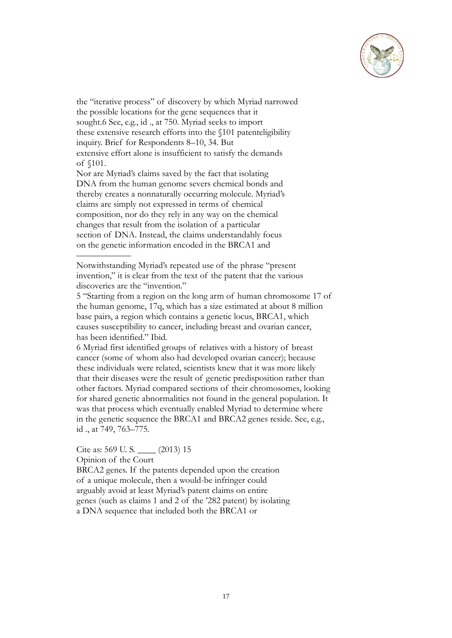

the "iterative process" of discovery by which Myriad narrowed the possible locations for the gene sequences that it sought.6 See, e.g., id ., at 750. Myriad seeks to import these extensive research efforts into the §101 patenteligibility inquiry. Brief for Respondents 8–10, 34. But extensive effort alone is insufficient to satisfy the demands of §101.

Nor are Myriad's claims saved by the fact that isolating DNA from the human genome severs chemical bonds and thereby creates a nonnaturally occurring molecule. Myriad's claims are simply not expressed in terms of chemical composition, nor do they rely in any way on the chemical changes that result from the isolation of a particular section of DNA. Instead, the claims understandably focus on the genetic information encoded in the BRCA1 and

Notwithstanding Myriad's repeated use of the phrase "present invention," it is clear from the text of the patent that the various discoveries are the "invention."

5 "Starting from a region on the long arm of human chromosome 17 of the human genome, 17q, which has a size estimated at about 8 million base pairs, a region which contains a genetic locus, BRCA1, which causes susceptibility to cancer, including breast and ovarian cancer, has been identified." Ibid.

6 Myriad first identified groups of relatives with a history of breast cancer (some of whom also had developed ovarian cancer); because these individuals were related, scientists knew that it was more likely that their diseases were the result of genetic predisposition rather than other factors. Myriad compared sections of their chromosomes, looking for shared genetic abnormalities not found in the general population. It was that process which eventually enabled Myriad to determine where in the genetic sequence the BRCA1 and BRCA2 genes reside. See, e.g., id ., at 749, 763–775.

Cite as: 569 U. S. \_\_\_\_ (2013) 15

Opinion of the Court

——————

BRCA2 genes. If the patents depended upon the creation of a unique molecule, then a would-be infringer could arguably avoid at least Myriad's patent claims on entire genes (such as claims 1 and 2 of the '282 patent) by isolating a DNA sequence that included both the BRCA1 or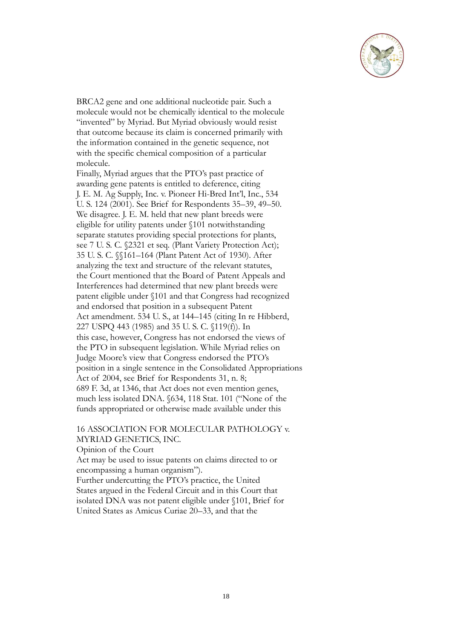

BRCA2 gene and one additional nucleotide pair. Such a molecule would not be chemically identical to the molecule "invented" by Myriad. But Myriad obviously would resist that outcome because its claim is concerned primarily with the information contained in the genetic sequence, not with the specific chemical composition of a particular molecule.

Finally, Myriad argues that the PTO's past practice of awarding gene patents is entitled to deference, citing J. E. M. Ag Supply, Inc. v. Pioneer Hi-Bred Int'l, Inc., 534 U. S. 124 (2001). See Brief for Respondents 35–39, 49–50. We disagree. J. E. M. held that new plant breeds were eligible for utility patents under §101 notwithstanding separate statutes providing special protections for plants, see 7 U.S. C. §2321 et seq. (Plant Variety Protection Act); 35 U. S. C. §§161–164 (Plant Patent Act of 1930). After analyzing the text and structure of the relevant statutes, the Court mentioned that the Board of Patent Appeals and Interferences had determined that new plant breeds were patent eligible under §101 and that Congress had recognized and endorsed that position in a subsequent Patent Act amendment. 534 U. S., at 144–145 (citing In re Hibberd, 227 USPQ 443 (1985) and 35 U. S. C. §119(f)). In this case, however, Congress has not endorsed the views of the PTO in subsequent legislation. While Myriad relies on Judge Moore's view that Congress endorsed the PTO's position in a single sentence in the Consolidated Appropriations Act of 2004, see Brief for Respondents 31, n. 8; 689 F. 3d, at 1346, that Act does not even mention genes, much less isolated DNA. §634, 118 Stat. 101 ("None of the funds appropriated or otherwise made available under this

# 16 ASSOCIATION FOR MOLECULAR PATHOLOGY v. MYRIAD GENETICS, INC.

Opinion of the Court

Act may be used to issue patents on claims directed to or encompassing a human organism").

Further undercutting the PTO's practice, the United States argued in the Federal Circuit and in this Court that isolated DNA was not patent eligible under §101, Brief for United States as Amicus Curiae 20–33, and that the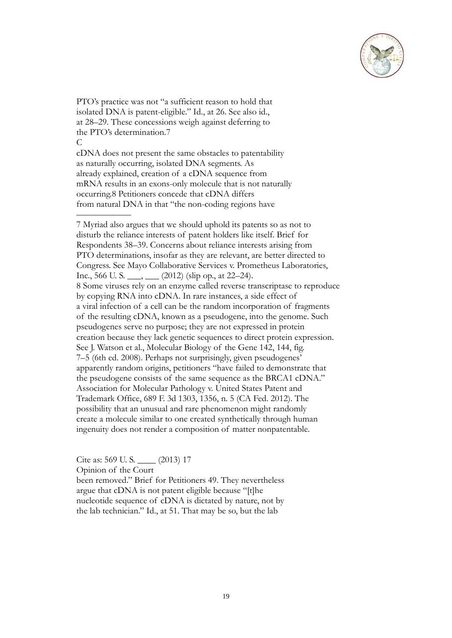

PTO's practice was not "a sufficient reason to hold that isolated DNA is patent-eligible." Id., at 26. See also id., at 28–29. These concessions weigh against deferring to the PTO's determination.7

C

——————

cDNA does not present the same obstacles to patentability as naturally occurring, isolated DNA segments. As already explained, creation of a cDNA sequence from mRNA results in an exons-only molecule that is not naturally occurring.8 Petitioners concede that cDNA differs from natural DNA in that "the non-coding regions have

7 Myriad also argues that we should uphold its patents so as not to disturb the reliance interests of patent holders like itself. Brief for Respondents 38–39. Concerns about reliance interests arising from PTO determinations, insofar as they are relevant, are better directed to Congress. See Mayo Collaborative Services v. Prometheus Laboratories, Inc., 566 U. S.  $\qquad \qquad$  (2012) (slip op., at 22–24). 8 Some viruses rely on an enzyme called reverse transcriptase to reproduce by copying RNA into cDNA. In rare instances, a side effect of a viral infection of a cell can be the random incorporation of fragments of the resulting cDNA, known as a pseudogene, into the genome. Such pseudogenes serve no purpose; they are not expressed in protein creation because they lack genetic sequences to direct protein expression. See J. Watson et al., Molecular Biology of the Gene 142, 144, fig. 7–5 (6th ed. 2008). Perhaps not surprisingly, given pseudogenes' apparently random origins, petitioners "have failed to demonstrate that the pseudogene consists of the same sequence as the BRCA1 cDNA." Association for Molecular Pathology v. United States Patent and Trademark Office, 689 F. 3d 1303, 1356, n. 5 (CA Fed. 2012). The possibility that an unusual and rare phenomenon might randomly create a molecule similar to one created synthetically through human ingenuity does not render a composition of matter nonpatentable.

Cite as: 569 U.S. (2013) 17 Opinion of the Court been removed." Brief for Petitioners 49. They nevertheless argue that cDNA is not patent eligible because "[t]he nucleotide sequence of cDNA is dictated by nature, not by the lab technician." Id., at 51. That may be so, but the lab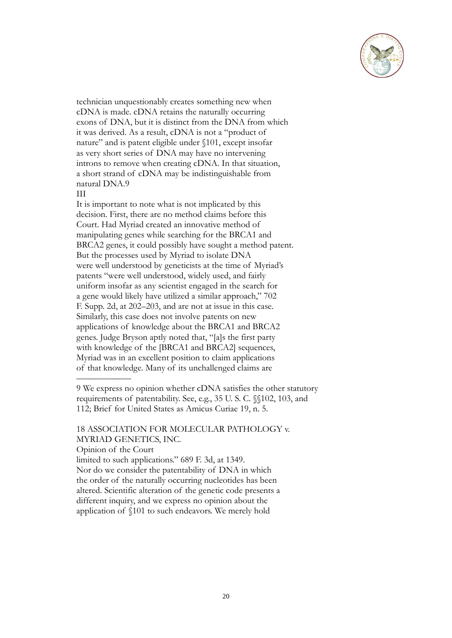

technician unquestionably creates something new when cDNA is made. cDNA retains the naturally occurring exons of DNA, but it is distinct from the DNA from which it was derived. As a result, cDNA is not a "product of nature" and is patent eligible under §101, except insofar as very short series of DNA may have no intervening introns to remove when creating cDNA. In that situation, a short strand of cDNA may be indistinguishable from natural DNA.9

#### III

It is important to note what is not implicated by this decision. First, there are no method claims before this Court. Had Myriad created an innovative method of manipulating genes while searching for the BRCA1 and BRCA2 genes, it could possibly have sought a method patent. But the processes used by Myriad to isolate DNA were well understood by geneticists at the time of Myriad's patents "were well understood, widely used, and fairly uniform insofar as any scientist engaged in the search for a gene would likely have utilized a similar approach," 702 F. Supp. 2d, at 202–203, and are not at issue in this case. Similarly, this case does not involve patents on new applications of knowledge about the BRCA1 and BRCA2 genes. Judge Bryson aptly noted that, "[a]s the first party with knowledge of the [BRCA1 and BRCA2] sequences, Myriad was in an excellent position to claim applications of that knowledge. Many of its unchallenged claims are

#### 18 ASSOCIATION FOR MOLECULAR PATHOLOGY v. MYRIAD GENETICS, INC.

Opinion of the Court

——————

limited to such applications." 689 F. 3d, at 1349. Nor do we consider the patentability of DNA in which the order of the naturally occurring nucleotides has been altered. Scientific alteration of the genetic code presents a different inquiry, and we express no opinion about the application of §101 to such endeavors. We merely hold

<sup>9</sup> We express no opinion whether cDNA satisfies the other statutory requirements of patentability. See, e.g., 35 U. S. C. §§102, 103, and 112; Brief for United States as Amicus Curiae 19, n. 5.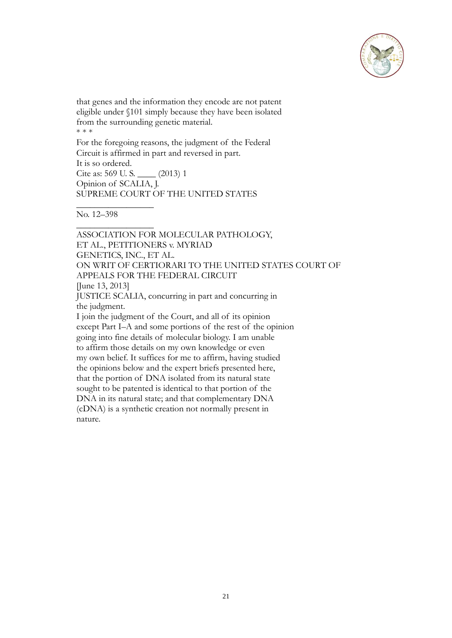

that genes and the information they encode are not patent eligible under §101 simply because they have been isolated from the surrounding genetic material. \* \* \*

For the foregoing reasons, the judgment of the Federal Circuit is affirmed in part and reversed in part. It is so ordered. Cite as: 569 U. S. \_\_\_\_ (2013) 1 Opinion of SCALIA, J. SUPREME COURT OF THE UNITED STATES

No. 12–398

 $\overline{\phantom{a}}$  , where  $\overline{\phantom{a}}$ 

 $\overline{\phantom{a}}$  , where  $\overline{\phantom{a}}$ ASSOCIATION FOR MOLECULAR PATHOLOGY, ET AL., PETITIONERS v. MYRIAD GENETICS, INC., ET AL. ON WRIT OF CERTIORARI TO THE UNITED STATES COURT OF APPEALS FOR THE FEDERAL CIRCUIT [June 13, 2013] JUSTICE SCALIA, concurring in part and concurring in the judgment. I join the judgment of the Court, and all of its opinion except Part I–A and some portions of the rest of the opinion going into fine details of molecular biology. I am unable to affirm those details on my own knowledge or even my own belief. It suffices for me to affirm, having studied the opinions below and the expert briefs presented here, that the portion of DNA isolated from its natural state sought to be patented is identical to that portion of the

DNA in its natural state; and that complementary DNA (cDNA) is a synthetic creation not normally present in nature.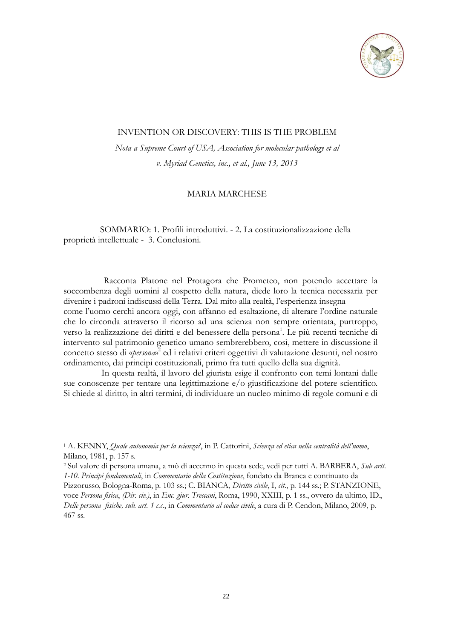

### INVENTION OR DISCOVERY: THIS IS THE PROBLEM

*Nota a Supreme Court of USA, Association for molecular pathology et al v. Myriad Genetics, inc., et al., June 13, 2013*

### MARIA MARCHESE

 SOMMARIO: 1. Profili introduttivi. - 2. La costituzionalizzazione della proprietà intellettuale - 3. Conclusioni.

 Racconta Platone nel Protagora che Prometeo, non potendo accettare la soccombenza degli uomini al cospetto della natura, diede loro la tecnica necessaria per divenire i padroni indiscussi della Terra. Dal mito alla realtà, l'esperienza insegna come l'uomo cerchi ancora oggi, con affanno ed esaltazione, di alterare l'ordine naturale che lo circonda attraverso il ricorso ad una scienza non sempre orientata, purtroppo, verso la realizzazione dei diritti e del benessere della persona<sup>1</sup>. Le più recenti tecniche di intervento sul patrimonio genetico umano sembrerebbero, così, mettere in discussione il concetto stesso di «*persona*» 2 ed i relativi criteri oggettivi di valutazione desunti, nel nostro ordinamento, dai principi costituzionali, primo fra tutti quello della sua dignità.

 In questa realtà, il lavoro del giurista esige il confronto con temi lontani dalle sue conoscenze per tentare una legittimazione e/o giustificazione del potere scientifico. Si chiede al diritto, in altri termini, di individuare un nucleo minimo di regole comuni e di

-

<sup>1</sup> A. KENNY, *Quale autonomia per la scienza?*, in P. Cattorini, *Scienza ed etica nella centralità dell'uomo*, Milano, 1981, p. 157 s.

<sup>2</sup> Sul valore di persona umana, a mò di accenno in questa sede, vedi per tutti A. BARBERA, *Sub artt. 1-10. Principi fondamentali*, in *Commentario della Costituzione*, fondato da Branca e continuato da

Pizzorusso, Bologna-Roma, p. 103 ss.; C. BIANCA, *Diritto civile*, I, *cit.*, p. 144 ss.; P. STANZIONE, voce *Persona fisica*, *(Dir. civ.)*, in *Enc. giur. Treccani*, Roma, 1990, XXIII, p. 1 ss., ovvero da ultimo, ID., *Delle persona fisiche, sub. art. 1 c.c.*, in *Commentario al codice civile*, a cura di P. Cendon, Milano, 2009, p. 467 ss.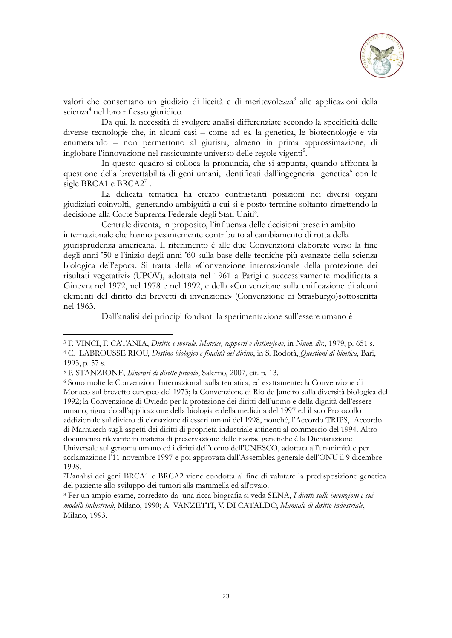

valori che consentano un giudizio di liceità e di meritevolezza<sup>3</sup> alle applicazioni della scienza<sup>4</sup> nel loro riflesso giuridico.

 Da qui, la necessità di svolgere analisi differenziate secondo la specificità delle diverse tecnologie che, in alcuni casi – come ad es. la genetica, le biotecnologie e via enumerando – non permettono al giurista, almeno in prima approssimazione, di inglobare l'innovazione nel rassicurante universo delle regole vigenti<sup>5</sup>.

 In questo quadro si colloca la pronuncia, che si appunta, quando affronta la questione della brevettabilità di geni umani, identificati dall'ingegneria genetica<sup>6</sup> con le sigle BRCA1 e BRCA2<sup>7</sup>.

 La delicata tematica ha creato contrastanti posizioni nei diversi organi giudiziari coinvolti, generando ambiguità a cui si è posto termine soltanto rimettendo la decisione alla Corte Suprema Federale degli Stati Uniti8.

 Centrale diventa, in proposito, l'influenza delle decisioni prese in ambito internazionale che hanno pesantemente contribuito al cambiamento di rotta della giurisprudenza americana. Il riferimento è alle due Convenzioni elaborate verso la fine degli anni '50 e l'inizio degli anni '60 sulla base delle tecniche più avanzate della scienza biologica dell'epoca. Si tratta della «Convenzione internazionale della protezione dei risultati vegetativi» (UPOV), adottata nel 1961 a Parigi e successivamente modificata a Ginevra nel 1972, nel 1978 e nel 1992, e della «Convenzione sulla unificazione di alcuni elementi del diritto dei brevetti di invenzione» (Convenzione di Strasburgo)sottoscritta nel 1963.

Dall'analisi dei principi fondanti la sperimentazione sull'essere umano è

1

<sup>3</sup> F. VINCI, F. CATANIA, *Diritto e morale*. *Matrice, rapporti e distinzione*, in *Nuov. dir.*, 1979, p. 651 s.

<sup>4</sup> C. LABROUSSE RIOU, *Destino biologico e finalità del diritto*, in S. Rodotà, *Questioni di bioetica*, Bari, 1993, p. 57 s.

<sup>5</sup> P. STANZIONE, *Itinerari di diritto privato*, Salerno, 2007, cit. p. 13.

<sup>6</sup> Sono molte le Convenzioni Internazionali sulla tematica, ed esattamente: la Convenzione di Monaco sul brevetto europeo del 1973; la Convenzione di Rio de Janeiro sulla diversità biologica del 1992; la Convenzione di Oviedo per la protezione dei diritti dell'uomo e della dignità dell'essere umano, riguardo all'applicazione della biologia e della medicina del 1997 ed il suo Protocollo addizionale sul divieto di clonazione di esseri umani del 1998, nonché, l'Accordo TRIPS, Accordo di Marrakech sugli aspetti dei diritti di proprietà industriale attinenti al commercio del 1994. Altro documento rilevante in materia di preservazione delle risorse genetiche è la Dichiarazione Universale sul genoma umano ed i diritti dell'uomo dell'UNESCO, adottata all'unanimità e per acclamazione l'11 novembre 1997 e poi approvata dall'Assemblea generale dell'ONU il 9 dicembre 1998.

<sup>7</sup>L'analisi dei geni BRCA1 e BRCA2 viene condotta al fine di valutare la predisposizione genetica del paziente allo sviluppo dei tumori alla mammella ed all'ovaio.

<sup>8</sup> Per un ampio esame, corredato da una ricca biografia si veda SENA, *I diritti sulle invenzioni e sui modelli industriali*, Milano, 1990; A. VANZETTI, V. DI CATALDO, *Manuale di diritto industriale*, Milano, 1993.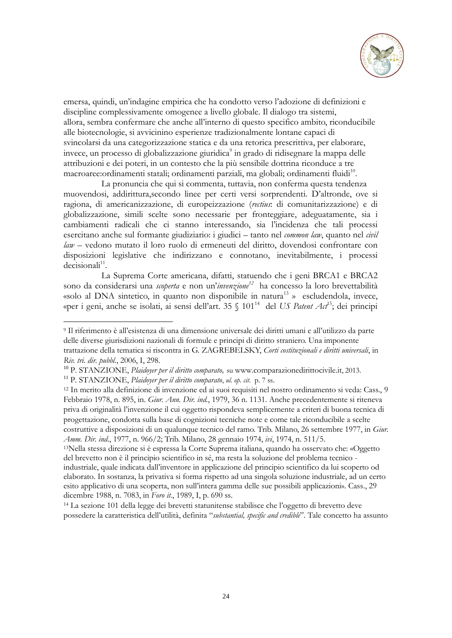

emersa, quindi, un'indagine empirica che ha condotto verso l'adozione di definizioni e discipline complessivamente omogenee a livello globale. Il dialogo tra sistemi, allora, sembra confermare che anche all'interno di questo specifico ambito, riconducibile alle biotecnologie, si avvicinino esperienze tradizionalmente lontane capaci di svincolarsi da una categorizzazione statica e da una retorica prescrittiva, per elaborare, invece, un processo di globalizzazione giuridica<sup>9</sup> in grado di ridisegnare la mappa delle attribuzioni e dei poteri, in un contesto che la più sensibile dottrina riconduce a tre macroaree:ordinamenti statali; ordinamenti parziali, ma globali; ordinamenti fluidi<sup>10</sup>.

 La pronuncia che qui si commenta, tuttavia, non conferma questa tendenza muovendosi, addirittura,secondo linee per certi versi sorprendenti. D'altronde, ove si ragiona, di americanizzazione, di europeizzazione (*rectius*: di comunitarizzazione) e di globalizzazione, simili scelte sono necessarie per fronteggiare, adeguatamente, sia i cambiamenti radicali che ci stanno interessando, sia l'incidenza che tali processi esercitano anche sul formante giudiziario: i giudici – tanto nel *common law*, quanto nel *civil law* – vedono mutato il loro ruolo di ermeneuti del diritto, dovendosi confrontare con disposizioni legislative che indirizzano e connotano, inevitabilmente, i processi decisionali<sup>11</sup>.

 La Suprema Corte americana, difatti, statuendo che i geni BRCA1 e BRCA2 sono da considerarsi una *scoperta* e non un'*invenzione<sup>12</sup>* ha concesso la loro brevettabilità «solo al DNA sintetico, in quanto non disponibile in natura<sup>13</sup> » escludendola, invece, «per i geni, anche se isolati, ai sensi dell'art. 35 § 101<sup>14</sup> del *US Patent Act*<sup>15</sup> ; dei principi

1

<sup>14</sup> La sezione 101 della legge dei brevetti statunitense stabilisce che l'oggetto di brevetto deve possedere la caratteristica dell'utilità, definita "*substantial, specific and credible*". Tale concetto ha assunto

<sup>9</sup> Il riferimento è all'esistenza di una dimensione universale dei diritti umani e all'utilizzo da parte delle diverse giurisdizioni nazionali di formule e principi di diritto straniero. Una imponente trattazione della tematica si riscontra in G. ZAGREBELSKY, *Corti costituzionali e diritti universali*, in *Riv. tri. dir. pubbl.*, 2006, I, 298.

<sup>10</sup> P. STANZIONE, *Plaidoyer per il diritto comparato,* su [www.comparazionedirittocivile.it](http://www.comparazionedirittocivile.it/), 2013. <sup>11</sup> P. STANZIONE, *Plaidoyer per il diritto comparato*, *ul. op. cit*. p. 7 ss.

<sup>12</sup> In merito alla definizione di invenzione ed ai suoi requisiti nel nostro ordinamento si veda: Cass., 9 Febbraio 1978, n. 895, in. *Giur. Ann. Dir. ind.*, 1979, 36 n. 1131. Anche precedentemente si riteneva priva di originalità l'invenzione il cui oggetto rispondeva semplicemente a criteri di buona tecnica di progettazione, condotta sulla base di cognizioni tecniche note e come tale riconducibile a scelte costruttive a disposizioni di un qualunque tecnico del ramo. Trib. Milano, 26 settembre 1977, in *Giur. Amm. Dir. ind*., 1977, n. 966/2; Trib. Milano, 28 gennaio 1974, *ivi*, 1974, n. 511/5.

<sup>13</sup>Nella stessa direzione si è espressa la Corte Suprema italiana, quando ha osservato che: «Oggetto del brevetto non è il principio scientifico in sé, ma resta la soluzione del problema tecnico industriale, quale indicata dall'inventore in applicazione del principio scientifico da lui scoperto od elaborato. In sostanza, la privativa si forma rispetto ad una singola soluzione industriale, ad un certo esito applicativo di una scoperta, non sull'intera gamma delle sue possibili applicazioni». Cass., 29 dicembre 1988, n. 7083, in *Foro it*., 1989, I, p. 690 ss.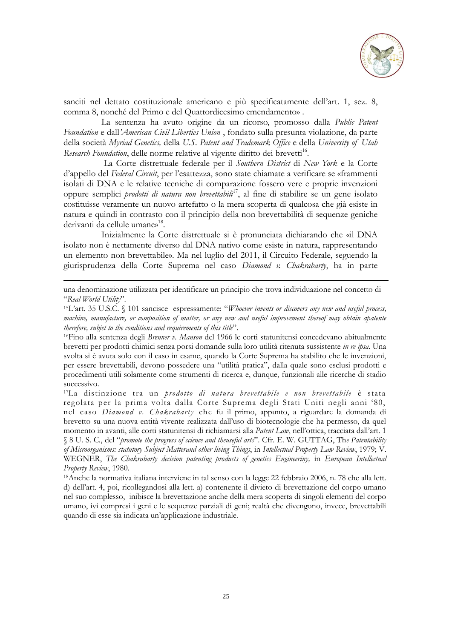

sanciti nel dettato costituzionale americano e più specificatamente dell'art. 1, sez. 8, comma 8, nonché del Primo e del Quattordicesimo emendamento» .

 La sentenza ha avuto origine da un ricorso, promosso dalla *Public Patent Foundation* e dall*'American Civil Liberties Union* , fondato sulla presunta violazione, da parte della società *Myriad Genetics,* della *U.S. Patent and Trademark Office* e della *University of Utah*  Research Foundation, delle norme relative al vigente diritto dei brevetti<sup>16</sup>.

 La Corte distrettuale federale per il *Southern District* di *New York* e la Corte d'appello del *Federal Circuit*, per l'esattezza, sono state chiamate a verificare se «frammenti isolati di DNA e le relative tecniche di comparazione fossero vere e proprie invenzioni oppure semplici *prodotti di natura non brevettabili*<sup>17</sup>, al fine di stabilire se un gene isolato costituisse veramente un nuovo artefatto o la mera scoperta di qualcosa che già esiste in natura e quindi in contrasto con il principio della non brevettabilità di sequenze geniche derivanti da cellule umane» 18 .

 Inizialmente la Corte distrettuale si è pronunciata dichiarando che «il DNA isolato non è nettamente diverso dal DNA nativo come esiste in natura, rappresentando un elemento non brevettabile». Ma nel luglio del 2011, il Circuito Federale, seguendo la giurisprudenza della Corte Suprema nel caso *Diamond v. Chakrabarty*, ha in parte

una denominazione utilizzata per identificare un principio che trova individuazione nel concetto di "*Real World Utility*".

1

<sup>15</sup>L'art. 35 U.S.C. § 101 sancisce espressamente: "*Whoever invents or discovers any new and useful process, machine, manufacture, or composition of matter, or any new and useful improvement thereof may obtain apatente therefore, subjet to the conditions and requirements of this title*".

<sup>16</sup>Fino alla sentenza degli *Brenner v. Manson* del 1966 le corti statunitensi concedevano abitualmente brevetti per prodotti chimici senza porsi domande sulla loro utilità ritenuta sussistente *in re ipsa*. Una svolta si è avuta solo con il caso in esame, quando la Corte Suprema ha stabilito che le invenzioni, per essere brevettabili, devono possedere una "utilità pratica", dalla quale sono esclusi prodotti e procedimenti utili solamente come strumenti di ricerca e, dunque, funzionali alle ricerche di stadio successivo.

<sup>17</sup>La distinzione tra un *prodotto di natura brevettabile e non brevettabile* è stata regolata per la prima volta dalla Corte Suprema degli Stati Uniti negli anni '80, nel caso *Diamond v. Chakrabarty* che fu il primo, appunto, a riguardare la domanda di brevetto su una nuova entità vivente realizzata dall'uso di biotecnologie che ha permesso, da quel momento in avanti, alle corti statunitensi di richiamarsi alla *Patent Law*, nell'ottica, tracciata dall'art. 1 § 8 U. S. C*.*, del "*promote the progress of science and theuseful arts*". Cfr. E. W. GUTTAG, Th*e Patentability of Microorganisms: statutory Subject Matterand other living Things*, in *Intellectual Property Law Review*, 1979; V. WEGNER, *The Chakrabarty decision patenting products of genetics Engineeriny,* in *European Intellectual Property Review*, 1980.

<sup>18</sup>Anche la normativa italiana interviene in tal senso con la legge 22 febbraio 2006, n. 78 che alla lett. d) dell'art. 4, poi, ricollegandosi alla lett. a) contenente il divieto di brevettazione del corpo umano nel suo complesso, inibisce la brevettazione anche della mera scoperta di singoli elementi del corpo umano, ivi compresi i geni e le sequenze parziali di geni; realtà che divengono, invece, brevettabili quando di esse sia indicata un'applicazione industriale.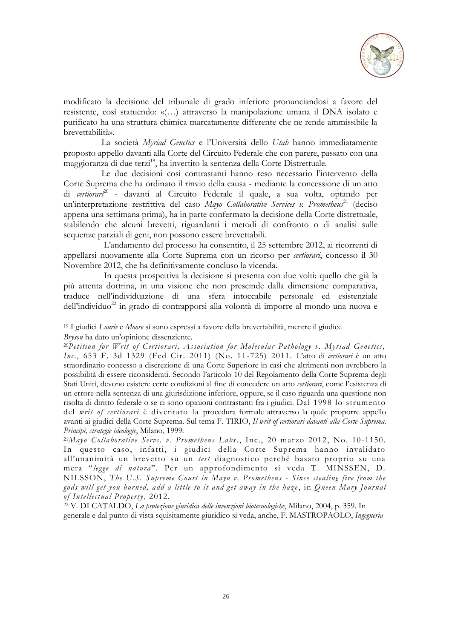

modificato la decisione del tribunale di grado inferiore pronunciandosi a favore del resistente, così statuendo: «(…) attraverso la manipolazione umana il DNA isolato e purificato ha una struttura chimica marcatamente differente che ne rende ammissibile la brevettabilità».

 La società *Myriad Genetics* e l'Università dello *Utah* hanno immediatamente proposto appello davanti alla Corte del Circuito Federale che con parere, passato con una maggioranza di due terzi<sup>19</sup>, ha invertito la sentenza della Corte Distrettuale.

 Le due decisioni così contrastanti hanno reso necessario l'intervento della Corte Suprema che ha ordinato il rinvio della causa - mediante la concessione di un atto di certiorari<sup>20</sup> - davanti al Circuito Federale il quale, a sua volta, optando per un'interpretazione restrittiva del caso Mayo Collaborative Services v. Prometheus<sup>21</sup> (deciso appena una settimana prima), ha in parte confermato la decisione della Corte distrettuale, stabilendo che alcuni brevetti, riguardanti i metodi di confronto o di analisi sulle sequenze parziali di geni, non possono essere brevettabili.

 L'andamento del processo ha consentito, il 25 settembre 2012, ai ricorrenti di appellarsi nuovamente alla Corte Suprema con un ricorso per *certiorari*, concesso il 30 Novembre 2012, che ha definitivamente concluso la vicenda.

 In questa prospettiva la decisione si presenta con due volti: quello che già la più attenta dottrina, in una visione che non prescinde dalla dimensione comparativa, traduce nell'individuazione di una sfera intoccabile personale ed esistenziale dell'individuo<sup>22</sup> in grado di contrapporsi alla volontà di imporre al mondo una nuova e

-

<sup>19</sup> I giudici *Lourie* e *Moore* si sono espressi a favore della brevettabilità, mentre il giudice *Bryson* ha dato un'opinione dissenziente.

<sup>20</sup>*Petition for Writ of Certiorari, Association for Molecular Pathology v. Myriad Genetics, Inc*., 653 F. 3d 1329 (Fed Cir. 2011) (No. 11 -725) 2011. L'atto di *certiorari* è un atto straordinario concesso a discrezione di una Corte Superiore in casi che altrimenti non avrebbero la possibilità di essere riconsiderati. Secondo l'articolo 10 del Regolamento della Corte Suprema degli Stati Uniti, devono esistere certe condizioni al fine di concedere un atto *certiorari*, come l'esistenza di un errore nella sentenza di una giurisdizione inferiore, oppure, se il caso riguarda una questione non risolta di diritto federale o se ci sono opinioni contrastanti fra i giudici. Dal 1998 lo strumento del *writ of certiorari* è diventato la procedura formale attraverso la quale proporre appello avanti ai giudici della Corte Suprema. Sul tema F. TIRIO, *Il writ of certiorari davanti alla Corte Suprema. Principi, strategie ideologie*, Milano, 1999.

<sup>21</sup>*Mayo Collaborative Servs. v. Prometheus Labs*., Inc., 20 marzo 2012, No. 10-1150. In questo caso, infatti, i giudici della Corte Suprema hanno invalidato all'unanimità un brevetto su un *test* diagnostico perché basato proprio su una mera "*legge di natura*". Per un approfondimento si veda T. MINSSEN, D. NILSSON, *The U.S. Supreme Court in Mayo v. Prometheus - Since stealing fire from the gods will get you burned, add a little to it and get away in the haze* , in *Queen Mary Journal of Intellectual Property*, 2012.

<sup>22</sup> V. DI CATALDO, *La protezione giuridica delle invenzioni biotecnologiche*, Milano, 2004, p. 359. In generale e dal punto di vista squisitamente giuridico si veda, anche, F. MASTROPAOLO, *Ingegneria*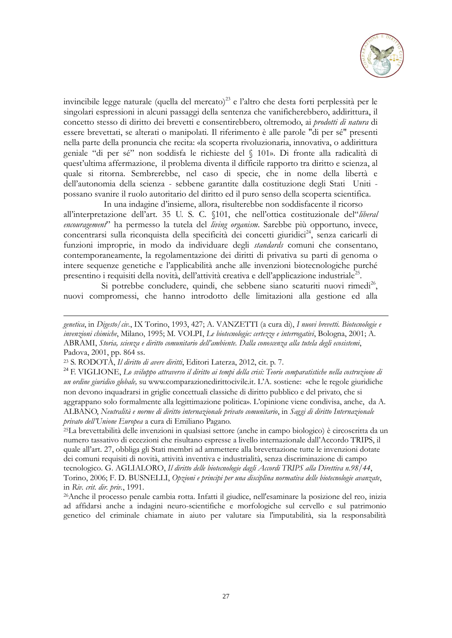

invincibile legge naturale (quella del mercato) <sup>23</sup> e l'altro che desta forti perplessità per le singolari espressioni in alcuni passaggi della sentenza che vanificherebbero, addirittura, il concetto stesso di diritto dei brevetti e consentirebbero, oltremodo, ai *prodotti di natura* di essere brevettati, se alterati o manipolati. Il riferimento è alle parole "di per sé" presenti nella parte della pronuncia che recita: «la scoperta rivoluzionaria, innovativa, o addirittura geniale "di per sé" non soddisfa le richieste del § 101». Di fronte alla radicalità di quest'ultima affermazione, il problema diventa il difficile rapporto tra diritto e scienza, al quale si ritorna. Sembrerebbe, nel caso di specie, che in nome della libertà e dell'autonomia della scienza - sebbene garantite dalla costituzione degli Stati Uniti possano svanire il ruolo autoritario del diritto ed il puro senso della scoperta scientifica.

 In una indagine d'insieme, allora, risulterebbe non soddisfacente il ricorso all'interpretazione dell'art. 35 U. S. C. §101, che nell'ottica costituzionale del"*liberal encouragement*" ha permesso la tutela del *living organism*. Sarebbe più opportuno, invece, concentrarsi sulla riconquista della specificità dei concetti giuridici<sup>24</sup>, senza caricarli di funzioni improprie, in modo da individuare degli *standards* comuni che consentano, contemporaneamente, la regolamentazione dei diritti di privativa su parti di genoma o intere sequenze genetiche e l'applicabilità anche alle invenzioni biotecnologiche purché presentino i requisiti della novità, dell'attività creativa e dell'applicazione industriale<sup>25</sup>.

Si potrebbe concludere, quindi, che sebbene siano scaturiti nuovi rimedi<sup>26</sup>, nuovi compromessi, che hanno introdotto delle limitazioni alla gestione ed alla

1

<sup>24</sup> F. VIGLIONE, *Lo sviluppo attraverso il diritto ai tempi della crisi: Teorie comparatistiche nella costruzione di un ordine giuridico globale,* su [www.comparazionedirittocivile.it](http://www.comparazionedirittocivile.it/). L'A. sostiene: «che le regole giuridiche non devono inquadrarsi in griglie concettuali classiche di diritto pubblico e del privato, che si aggrappano solo formalmente alla legittimazione politica». L'opinione viene condivisa, anche, da A. ALBANO, *Neutralità e norme di diritto internazionale privato comunitario*, in *Saggi di diritto Internazionale privato dell'Unione Europea* a cura di Emiliano Pagano.

<sup>25</sup>La brevettabilità delle invenzioni in qualsiasi settore (anche in campo biologico) è circoscritta da un numero tassativo di eccezioni che risultano espresse a livello internazionale dall'Accordo TRIPS, il quale all'art. 27, obbliga gli Stati membri ad ammettere alla brevettazione tutte le invenzioni dotate dei comuni requisiti di novità, attività inventiva e industrialità, senza discriminazione di campo tecnologico. G. AGLIALORO, *Il diritto delle biotecnologie dagli Accordi TRIPS alla Direttiva n.98/44*, Torino, 2006; F. D. BUSNELLI, *Opzioni e principi per una disciplina normativa delle biotecnologie avanzate*, in *Riv. crit. dir. priv.*, 1991.

<sup>26</sup>Anche il processo penale cambia rotta. Infatti il giudice, nell'esaminare la posizione del reo, inizia ad affidarsi anche a indagini neuro-scientifiche e morfologiche sul cervello e sul patrimonio genetico del criminale chiamate in aiuto per valutare sia l'imputabilità, sia la responsabilità

*genetica*, in *Digesto/civ.*, IX Torino, 1993, 427; A. VANZETTI (a cura di), *I nuovi brevetti. Biotecnologie e invenzioni chimiche*, Milano, 1995; M. VOLPI, *Le biotecnologie: certezze e interrogativi*, Bologna, 2001; A. ABRAMI, *Storia, scienza e diritto comunitario dell'ambiente. Dalla conoscenza alla tutela degli ecosistemi*, Padova, 2001, pp. 864 ss.

<sup>23</sup> S. RODOTÀ, *Il diritto di avere diritti*, Editori Laterza, 2012, cit. p. 7.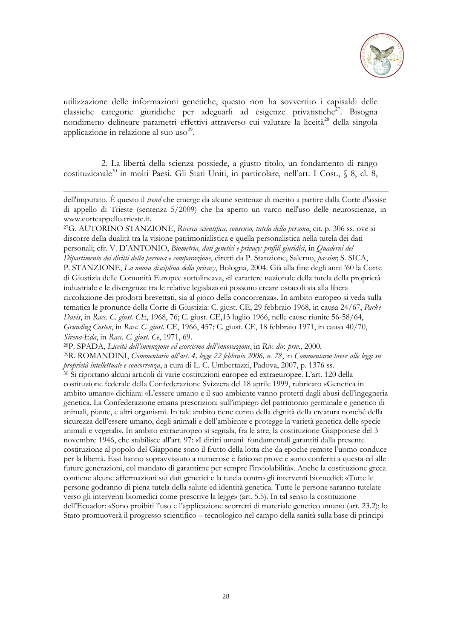

utilizzazione delle informazioni genetiche, questo non ha sovvertito i capisaldi delle classiche categorie giuridiche per adeguarli ad esigenze privatistiche $^{27}$ . Bisogna nondimeno delineare parametri effettivi attraverso cui valutare la liceità<sup>28</sup> della singola applicazione in relazione al suo uso $^{29}$ .

 2. La libertà della scienza possiede, a giusto titolo, un fondamento di rango costituzionale<sup>30</sup> in molti Paesi. Gli Stati Uniti, in particolare, nell'art. I Cost., § 8, cl. 8,

<sup>27</sup>G. AUTORINO STANZIONE, *Ricerca scientifica, consenso, tutela della persona*, cit. p. 306 ss. ove si discorre della dualità tra la visione patrimonialistica e quella personalistica nella tutela dei dati personali; cfr. V. D'ANTONIO, *Biometria, dati genetici e privacy: profili giuridici*, in *Quaderni del*

*Dipartimento dei diritti della persona e comparazione*, diretti da P. Stanzione, Salerno, *passim*; S. SICA, P. STANZIONE, *La nuova [disciplina della privacy](http://www.ibs.it/code/9788808072139/sica-salvatore/nuova-disciplina-della.html)*, Bologna, 2004. Già alla fine degli anni '60 la Corte di Giustizia delle Comunità Europee sottolineava, «il carattere nazionale della tutela della proprietà industriale e le divergenze tra le relative legislazioni possono creare ostacoli sia alla libera circolazione dei prodotti brevettati, sia al gioco della concorrenza». In ambito europeo si veda sulla tematica le pronunce della Corte di Giustizia: C. giust. CE, 29 febbraio 1968, in causa 24/67, *Parke Davis*, in *Racc. C. giust. CE*, 1968, 76; C. giust. CE,13 luglio 1966, nelle cause riunite 56-58/64, *Grunding Costen*, in *Racc. C. giust.* CE, 1966, 457; C. giust. CE, 18 febbraio 1971, in causa 40/70, *Sirena-Eda*, in *Racc. C. giust. Ce*, 1971, 69.

<sup>28</sup>P. SPADA, *Liceità dell'invenzione ed esorcismo dell'innovazione*, in *Riv. dir. priv*., 2000.

-

<sup>29</sup>R. ROMANDINI, *Commentario all'art. 4, legge 22 febbraio 2006, n. 78*, in *Commentario breve alle leggi su proprietà intellettuale e concorrenza*, a cura di L. C. Umbertazzi, Padova, 2007, p. 1376 ss.

<sup>30</sup> Si riportano alcuni articoli di varie costituzioni europee ed extraeuropee. L'art. 120 della costituzione federale della Confederazione Svizzera del 18 aprile 1999, rubricato «Genetica in ambito umano» dichiara: «L'essere umano e il suo ambiente vanno protetti dagli abusi dell'ingegneria genetica. La Confederazione emana prescrizioni sull'impiego del patrimonio germinale e genetico di animali, piante, e altri organismi. In tale ambito tiene conto della dignità della creatura nonché della sicurezza dell'essere umano, degli animali e dell'ambiente e protegge la varietà genetica delle specie animali e vegetali». In ambito extraeuropeo si segnala, fra le atre, la costituzione Giapponese del 3 novembre 1946, che stabilisce all'art. 97: «I diritti umani fondamentali garantiti dalla presente costituzione al popolo del Giappone sono il frutto della lotta che da epoche remote l'uomo conduce per la libertà. Essi hanno sopravvissuto a numerose e faticose prove e sono conferiti a questa ed alle future generazioni, col mandato di garantirne per sempre l'inviolabilità». Anche la costituzione greca contiene alcune affermazioni sui dati genetici e la tutela contro gli interventi biomedici: «Tutte le persone godranno di piena tutela della salute ed identità genetica. Tutte le persone saranno tutelate verso gli interventi biomedici come prescrive la legge» (art. 5.5). In tal senso la costituzione dell'Ecuador: «Sono proibiti l'uso e l'applicazione scorretti di materiale genetico umano (art. 23.2); lo Stato promuoverà il progresso scientifico – tecnologico nel campo della sanità sulla base di principi

dell'imputato. È questo il *trend* che emerge da alcune sentenze di merito a partire dalla Corte d'assise di appello di Trieste (sentenza 5/2009) che ha aperto un varco nell'uso delle neuroscienze, in www.corteappello.trieste.it.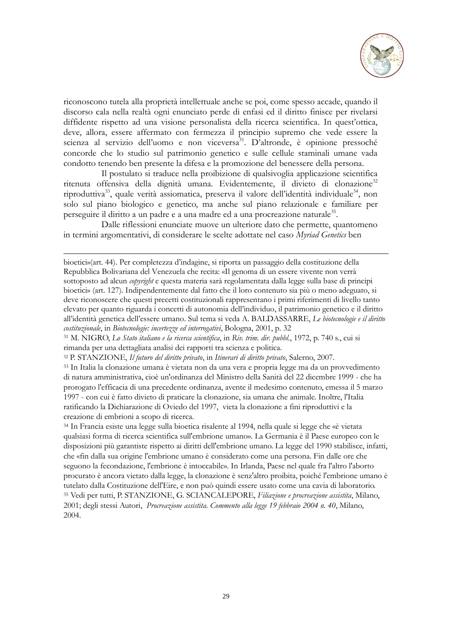

riconoscono tutela alla proprietà intellettuale anche se poi, come spesso accade, quando il discorso cala nella realtà ogni enunciato perde di enfasi ed il diritto finisce per rivelarsi diffidente rispetto ad una visione personalista della ricerca scientifica. In quest'ottica, deve, allora, essere affermato con fermezza il principio supremo che vede essere la scienza al servizio dell'uomo e non viceversa<sup>31</sup>. D'altronde, è opinione pressoché concorde che lo studio sul patrimonio genetico e sulle cellule staminali umane vada condotto tenendo ben presente la difesa e la promozione del benessere della persona.

 Il postulato si traduce nella proibizione di qualsivoglia applicazione scientifica ritenuta offensiva della dignità umana. Evidentemente, il divieto di clonazione<sup>32</sup> riproduttiva<sup>33</sup>, quale verità assiomatica, preserva il valore dell'identità individuale<sup>34</sup>, non solo sul piano biologico e genetico, ma anche sul piano relazionale e familiare per perseguire il diritto a un padre e a una madre ed a una procreazione naturale<sup>35</sup>.

 Dalle riflessioni enunciate muove un ulteriore dato che permette, quantomeno in termini argomentativi, di considerare le scelte adottate nel caso *Myriad Genetics* ben

<sup>31</sup> M. NIGRO, *Lo Stato italiano e la ricerca scientifica*, in *Riv. trim. dir. pubbl.*, 1972, p. 740 s., cui si rimanda per una dettagliata analisi dei rapporti tra scienza e politica.

<sup>32</sup> P. STANZIONE, *Il futuro del diritto privato*, in *Itinerari di diritto privato*, Salerno, 2007.

1

<sup>33</sup> In Italia la clonazione umana è vietata non da una vera e propria legge ma da un provvedimento di natura amministrativa, cioè un'ordinanza del Ministro della Sanità del 22 dicembre 1999 - che ha prorogato l'efficacia di una precedente ordinanza, avente il medesimo contenuto, emessa il 5 marzo 1997 - con cui è fatto divieto di praticare la clonazione, sia umana che animale. Inoltre, l'Italia ratificando la Dichiarazione di Oviedo del [1997,](http://www.kultunderground.org/art/16289#IP2) vieta la clonazione a fini riproduttivi e la creazione di embrioni a scopo di ricerca.

<sup>34</sup> In Francia esiste una legge sulla bioetica risalente al 1994, nella quale si legge che «è vietata qualsiasi forma di ricerca scientifica sull'embrione umano». La Germania è il Paese europeo con le disposizioni più garantiste rispetto ai diritti dell'embrione umano. La legge del 1990 stabilisce, infatti, che «fin dalla sua origine l'embrione umano è considerato come una persona. Fin dalle ore che seguono la fecondazione, l'embrione è intoccabile». In Irlanda, Paese nel quale fra l'altro l'aborto procurato è ancora vietato dalla legge, la clonazione è senz'altro proibita, poiché l'embrione umano è tutelato dalla Costituzione dell'Eire, e non può quindi essere usato come una cavia di laboratorio. <sup>35</sup> Vedi per tutti, [P. STANZIONE, G. SCIANCALEPORE,](http://www.comparazionedirittocivile.it/persone/stanzione/21.pdf) *Filiazione e procreazione assistita*, Milano, [2001;](http://www.comparazionedirittocivile.it/persone/stanzione/21.pdf) degli stessi Autori, *[Procreazione assistita. Commento alla legge 19 febbraio 2004 n. 40](http://www.comparazionedirittocivile.it/persone/stanzione/43.pdf)*[, Milano,](http://www.comparazionedirittocivile.it/persone/stanzione/43.pdf) [2004.](http://www.comparazionedirittocivile.it/persone/stanzione/43.pdf)

bioetici»(art. 44). Per completezza d'indagine, si riporta un passaggio della costituzione della Repubblica Bolivariana del Venezuela che recita: «Il genoma di un essere vivente non verrà sottoposto ad alcun *copyright* e questa materia sarà regolamentata dalla legge sulla base di principi bioetici» (art. 127). Indipendentemente dal fatto che il loro contenuto sia più o meno adeguato, si deve riconoscere che questi precetti costituzionali rappresentano i primi riferimenti di livello tanto elevato per quanto riguarda i concetti di autonomia dell'individuo, il patrimonio genetico e il diritto all'identità genetica dell'essere umano. Sul tema si veda A. BALDASSARRE, *Le biotecnologie e il diritto costituzionale*, in *Biotecnologie: incertezze ed interrogativi*, Bologna, 2001, p. 32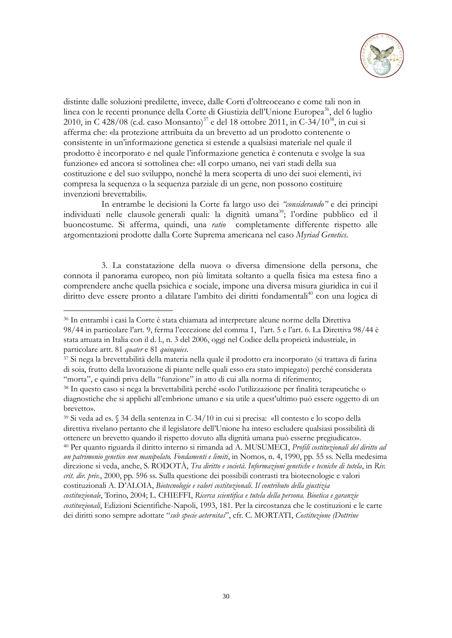

distinte dalle soluzioni predilette, invece, dalle Corti d'oltreoceano e come tali non in linea con le recenti pronunce della Corte di Giustizia dell'Unione Europea<sup>36</sup>, del 6 luglio 2010, in C 428/08 (c.d. caso Monsanto)<sup>37</sup> e del 18 ottobre 2011, in C-34/10<sup>38</sup>, in cui si afferma che: «la protezione attribuita da un brevetto ad un prodotto contenente o consistente in un'informazione genetica si estende a qualsiasi materiale nel quale il prodotto è incorporato e nel quale l'informazione genetica è contenuta e svolge la sua funzione» ed ancora si sottolinea che: «Il corpo umano, nei vari stadi della sua costituzione e del suo sviluppo, nonché la mera scoperta di uno dei suoi elementi, ivi compresa la sequenza o la sequenza parziale di un gene, non possono costituire invenzioni brevettabili».

 In entrambe le decisioni la Corte fa largo uso dei *"considerando"* e dei principi individuati nelle clausole generali quali: la dignità umana<sup>39</sup>; l'ordine pubblico ed il buoncostume. Si afferma, quindi, una *ratio* completamente differente rispetto alle argomentazioni prodotte dalla Corte Suprema americana nel caso *Myriad Genetics*.

 3. La constatazione della nuova o diversa dimensione della persona, che connota il panorama europeo, non più limitata soltanto a quella fisica ma estesa fino a comprendere anche quella psichica e sociale, impone una diversa misura giuridica in cui il diritto deve essere pronto a dilatare l'ambito dei diritti fondamentali<sup>40</sup> con una logica di

-

<sup>39</sup> Si veda ad es. § 34 della sentenza in C-34/10 in cui si precisa: «Il contesto e lo scopo della direttiva rivelano pertanto che il legislatore dell'Unione ha inteso escludere qualsiasi possibilità di ottenere un brevetto quando il rispetto dovuto alla dignità umana può esserne pregiudicato». <sup>40</sup> Per quanto riguarda il diritto interno si rimanda ad A. MUSUMECI, *Profili costituzionali del diritto ad un patrimonio genetico non manipolato. Fondamenti e limiti*, in Nomos, n. 4, 1990, pp. 55 ss. Nella medesima direzione si veda, anche, S. RODOTÀ, *Tra diritto e società*. *Informazioni genetiche e tecniche di tutela*, in *Riv. crit. dir. priv.*, 2000, pp. 596 ss. Sulla questione dei possibili contrasti tra biotecnologie e valori costituzionali A. D'ALOIA, *Biotecnologie e valori costituzionali. Il contributo della giustizia costituzionale*, Torino, 2004; L. CHIEFFI, *Ricerca scientifica e tutela della persona. Bioetica e garanzie costituzionali*, Edizioni Scientifiche-Napoli, 1993, 181. Per la circostanza che le costituzioni e le carte dei diritti sono sempre adottate "*sub specie aeternitas*", cfr. C. MORTATI, *Costituzione (Dottrine*

<sup>36</sup> In entrambi i casi la Corte è stata chiamata ad interpretare alcune norme della Direttiva 98/44 in particolare l'art. 9, ferma l'eccezione del comma 1, l'art. 5 e l'art. 6. La Direttiva 98/44 è stata attuata in Italia con il d. l., n. 3 del 2006, oggi nel Codice della proprietà industriale, in particolare artt. 81 *quater* e 81 *quinquies*.

<sup>37</sup> Si nega la brevettabilità della materia nella quale il prodotto era incorporato (si trattava di farina di soia, frutto della lavorazione di piante nelle quali esso era stato impiegato) perché considerata "morta", e quindi priva della "funzione" in atto di cui alla norma di riferimento;

<sup>38</sup> In questo caso si nega la brevettabilità perché «solo l'utilizzazione per finalità terapeutiche o diagnostiche che si applichi all'embrione umano e sia utile a quest'ultimo può essere oggetto di un brevetto».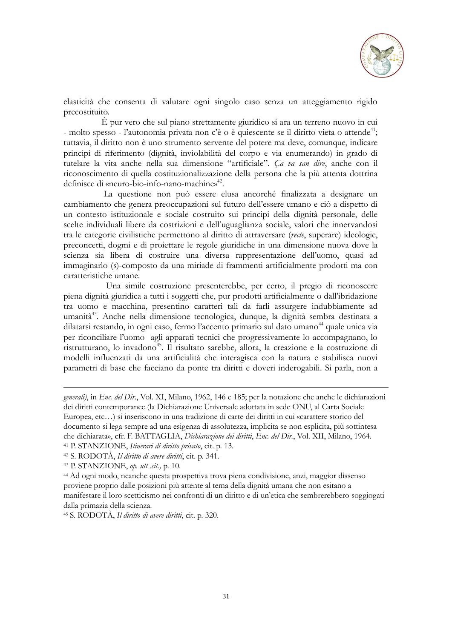

elasticità che consenta di valutare ogni singolo caso senza un atteggiamento rigido precostituito.

 È pur vero che sul piano strettamente giuridico si ara un terreno nuovo in cui - molto spesso - l'autonomia privata non c'è o è quiescente se il diritto vieta o attende<sup>41</sup>; tuttavia, il diritto non è uno strumento servente del potere ma deve, comunque, indicare principi di riferimento (dignità, inviolabilità del corpo e via enumerando) in grado di tutelare la vita anche nella sua dimensione "artificiale". *Ça va san dire*, anche con il riconoscimento di quella costituzionalizzazione della persona che la più attenta dottrina definisce di «neuro-bio-info-nano-machine»<sup>42</sup>.

 La questione non può essere elusa ancorché finalizzata a designare un cambiamento che genera preoccupazioni sul futuro dell'essere umano e ciò a dispetto di un contesto istituzionale e sociale costruito sui principi della dignità personale, delle scelte individuali libere da costrizioni e dell'uguaglianza sociale, valori che innervandosi tra le categorie civilistiche permettono al diritto di attraversare (*recte*, superare) ideologie, preconcetti, dogmi e di proiettare le regole giuridiche in una dimensione nuova dove la scienza sia libera di costruire una diversa rappresentazione dell'uomo, quasi ad immaginarlo (s)-composto da una miriade di frammenti artificialmente prodotti ma con caratteristiche umane.

 Una simile costruzione presenterebbe, per certo, il pregio di riconoscere piena dignità giuridica a tutti i soggetti che, pur prodotti artificialmente o dall'ibridazione tra uomo e macchina, presentino caratteri tali da farli assurgere indubbiamente ad umanità<sup>43</sup>. Anche nella dimensione tecnologica, dunque, la dignità sembra destinata a dilatarsi restando, in ogni caso, fermo l'accento primario sul dato umano<sup>44</sup> quale unica via per riconciliare l'uomo agli apparati tecnici che progressivamente lo accompagnano, lo ristrutturano, lo invadono<sup>45</sup>. Il risultato sarebbe, allora, la creazione e la costruzione di modelli influenzati da una artificialità che interagisca con la natura e stabilisca nuovi parametri di base che facciano da ponte tra diritti e doveri inderogabili. Si parla, non a

-

<sup>45</sup> S. RODOTÀ, *Il diritto di avere diritti*, cit. p. 320.

*generali)*, in *Enc. del Dir*., Vol. XI, Milano, 1962, 146 e 185; per la notazione che anche le dichiarazioni dei diritti contemporanee (la Dichiarazione Universale adottata in sede ONU, al Carta Sociale Europea, etc…) si inseriscono in una tradizione di carte dei diritti in cui «carattere storico del documento si lega sempre ad una esigenza di assolutezza, implicita se non esplicita, più sottintesa che dichiarata», cfr. F. BATTAGLIA, *Dichiarazione dei diritti*, *Enc. del Dir.*, Vol. XII, Milano, 1964.

<sup>41</sup> P. STANZIONE, *Itinerari di diritto privato*, cit. p. 13.

<sup>42</sup> S. RODOTÀ, *Il diritto di avere diritti*, cit. p. 341.

<sup>43</sup> P. STANZIONE, *op. ult .cit.,* p. 10.

<sup>44</sup> Ad ogni modo, neanche questa prospettiva trova piena condivisione, anzi, maggior dissenso proviene proprio dalle posizioni più attente al tema della dignità umana che non esitano a manifestare il loro scetticismo nei confronti di un diritto e di un'etica che sembrerebbero soggiogati dalla primazia della scienza.